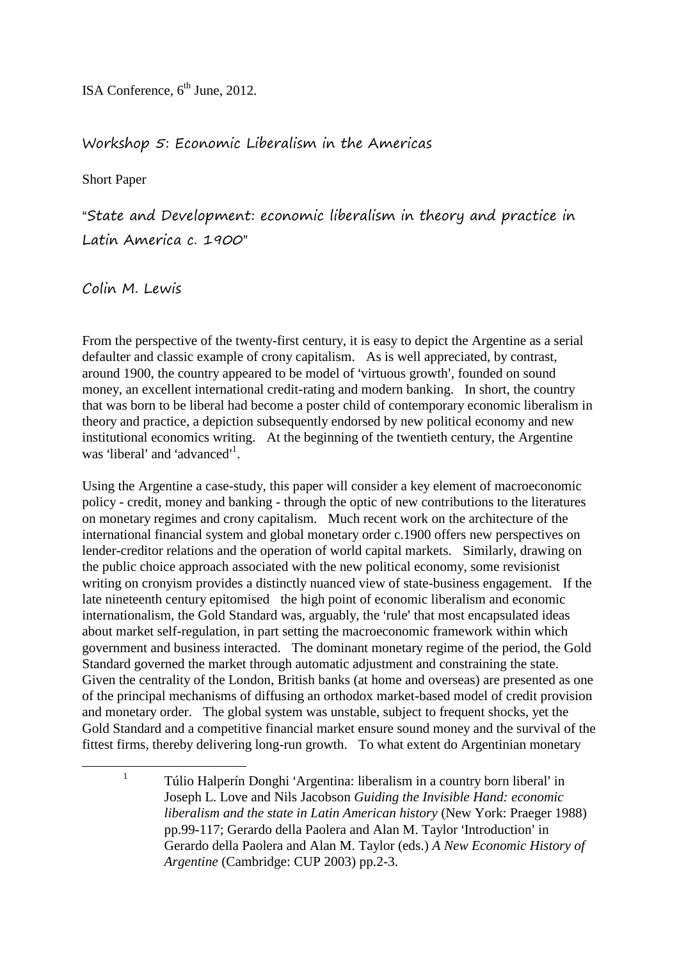ISA Conference,  $6<sup>th</sup>$  June, 2012.

# Workshop 5: Economic Liberalism in the Americas

Short Paper

"State and Development: economic liberalism in theory and practice in Latin America c. 1900"

## Colin M. Lewis

1

From the perspective of the twenty-first century, it is easy to depict the Argentine as a serial defaulter and classic example of crony capitalism. As is well appreciated, by contrast, around 1900, the country appeared to be model of 'virtuous growth', founded on sound money, an excellent international credit-rating and modern banking. In short, the country that was born to be liberal had become a poster child of contemporary economic liberalism in theory and practice, a depiction subsequently endorsed by new political economy and new institutional economics writing. At the beginning of the twentieth century, the Argentine was 'liberal' and 'advanced'<sup>1</sup>.

Using the Argentine a case-study, this paper will consider a key element of macroeconomic policy - credit, money and banking - through the optic of new contributions to the literatures on monetary regimes and crony capitalism. Much recent work on the architecture of the international financial system and global monetary order c.1900 offers new perspectives on lender-creditor relations and the operation of world capital markets. Similarly, drawing on the public choice approach associated with the new political economy, some revisionist writing on cronyism provides a distinctly nuanced view of state-business engagement. If the late nineteenth century epitomised the high point of economic liberalism and economic internationalism, the Gold Standard was, arguably, the 'rule' that most encapsulated ideas about market self-regulation, in part setting the macroeconomic framework within which government and business interacted. The dominant monetary regime of the period, the Gold Standard governed the market through automatic adjustment and constraining the state. Given the centrality of the London, British banks (at home and overseas) are presented as one of the principal mechanisms of diffusing an orthodox market-based model of credit provision and monetary order. The global system was unstable, subject to frequent shocks, yet the Gold Standard and a competitive financial market ensure sound money and the survival of the fittest firms, thereby delivering long-run growth. To what extent do Argentinian monetary

<sup>1</sup> Túlio Halperín Donghi 'Argentina: liberalism in a country born liberal' in Joseph L. Love and Nils Jacobson *Guiding the Invisible Hand: economic liberalism and the state in Latin American history* (New York: Praeger 1988) pp.99-117; Gerardo della Paolera and Alan M. Taylor 'Introduction' in Gerardo della Paolera and Alan M. Taylor (eds.) *A New Economic History of Argentine* (Cambridge: CUP 2003) pp.2-3.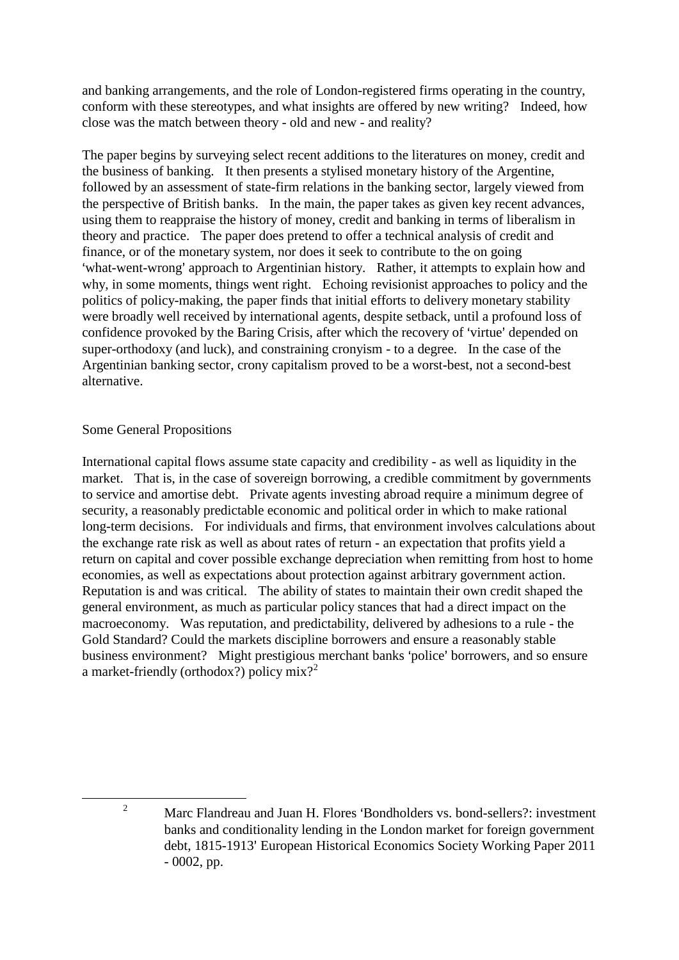and banking arrangements, and the role of London-registered firms operating in the country, conform with these stereotypes, and what insights are offered by new writing? Indeed, how close was the match between theory - old and new - and reality?

The paper begins by surveying select recent additions to the literatures on money, credit and the business of banking. It then presents a stylised monetary history of the Argentine, followed by an assessment of state-firm relations in the banking sector, largely viewed from the perspective of British banks. In the main, the paper takes as given key recent advances, using them to reappraise the history of money, credit and banking in terms of liberalism in theory and practice. The paper does pretend to offer a technical analysis of credit and finance, or of the monetary system, nor does it seek to contribute to the on going 'what-went-wrong' approach to Argentinian history. Rather, it attempts to explain how and why, in some moments, things went right. Echoing revisionist approaches to policy and the politics of policy-making, the paper finds that initial efforts to delivery monetary stability were broadly well received by international agents, despite setback, until a profound loss of confidence provoked by the Baring Crisis, after which the recovery of 'virtue' depended on super-orthodoxy (and luck), and constraining cronyism - to a degree. In the case of the Argentinian banking sector, crony capitalism proved to be a worst-best, not a second-best alternative.

## Some General Propositions

International capital flows assume state capacity and credibility - as well as liquidity in the market. That is, in the case of sovereign borrowing, a credible commitment by governments to service and amortise debt. Private agents investing abroad require a minimum degree of security, a reasonably predictable economic and political order in which to make rational long-term decisions. For individuals and firms, that environment involves calculations about the exchange rate risk as well as about rates of return - an expectation that profits yield a return on capital and cover possible exchange depreciation when remitting from host to home economies, as well as expectations about protection against arbitrary government action. Reputation is and was critical. The ability of states to maintain their own credit shaped the general environment, as much as particular policy stances that had a direct impact on the macroeconomy. Was reputation, and predictability, delivered by adhesions to a rule - the Gold Standard? Could the markets discipline borrowers and ensure a reasonably stable business environment? Might prestigious merchant banks 'police' borrowers, and so ensure a market-friendly (orthodox?) policy  $mix?$ 

<sup>&</sup>lt;sup>2</sup> Marc Flandreau and Juan H. Flores 'Bondholders vs. bond-sellers?: investment banks and conditionality lending in the London market for foreign government debt, 1815-1913' European Historical Economics Society Working Paper 2011 - 0002, pp.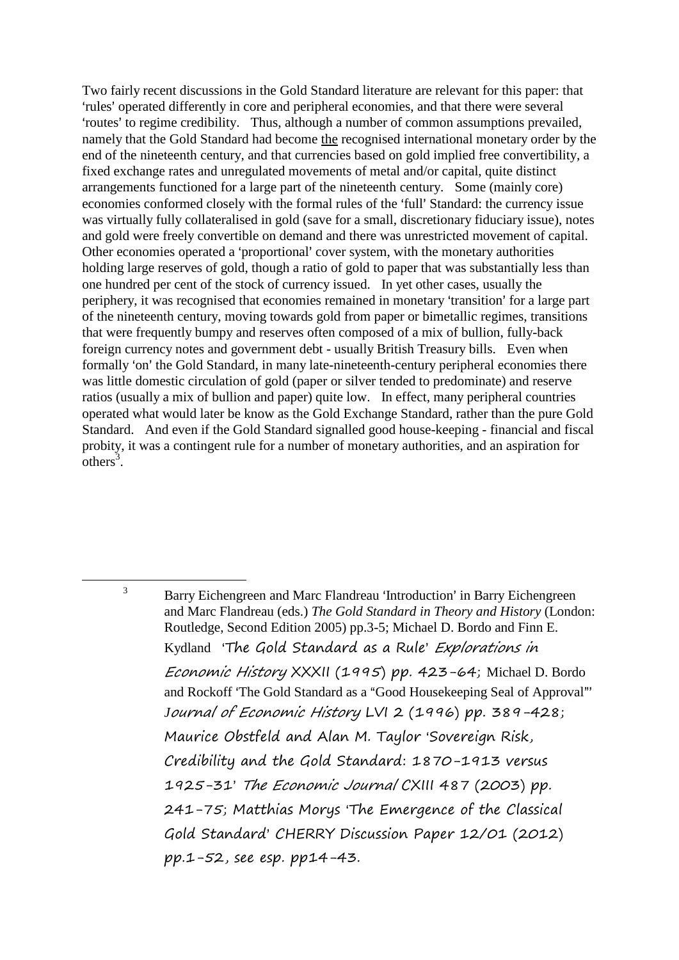Two fairly recent discussions in the Gold Standard literature are relevant for this paper: that 'rules' operated differently in core and peripheral economies, and that there were several 'routes' to regime credibility. Thus, although a number of common assumptions prevailed, namely that the Gold Standard had become the recognised international monetary order by the end of the nineteenth century, and that currencies based on gold implied free convertibility, a fixed exchange rates and unregulated movements of metal and/or capital, quite distinct arrangements functioned for a large part of the nineteenth century. Some (mainly core) economies conformed closely with the formal rules of the 'full' Standard: the currency issue was virtually fully collateralised in gold (save for a small, discretionary fiduciary issue), notes and gold were freely convertible on demand and there was unrestricted movement of capital. Other economies operated a 'proportional' cover system, with the monetary authorities holding large reserves of gold, though a ratio of gold to paper that was substantially less than one hundred per cent of the stock of currency issued. In yet other cases, usually the periphery, it was recognised that economies remained in monetary 'transition' for a large part of the nineteenth century, moving towards gold from paper or bimetallic regimes, transitions that were frequently bumpy and reserves often composed of a mix of bullion, fully-back foreign currency notes and government debt - usually British Treasury bills. Even when formally 'on' the Gold Standard, in many late-nineteenth-century peripheral economies there was little domestic circulation of gold (paper or silver tended to predominate) and reserve ratios (usually a mix of bullion and paper) quite low. In effect, many peripheral countries operated what would later be know as the Gold Exchange Standard, rather than the pure Gold Standard. And even if the Gold Standard signalled good house-keeping - financial and fiscal probity, it was a contingent rule for a number of monetary authorities, and an aspiration for  $\overline{\text{others}}^3$ .

<sup>3</sup> Barry Eichengreen and Marc Flandreau 'Introduction' in Barry Eichengreen and Marc Flandreau (eds.) *The Gold Standard in Theory and History* (London: Routledge, Second Edition 2005) pp.3-5; Michael D. Bordo and Finn E. Kydland 'The Gold Standard as a Rule' Explorations in Economic History XXXII (1995) pp. 423-64; Michael D. Bordo and Rockoff 'The Gold Standard as a "Good Housekeeping Seal of Approval"' *J*ournal of Economic History LVI 2 (1996) pp. 389-428; Maurice Obstfeld and Alan M. Taylor 'Sovereign Risk, Credibility and the Gold Standard: 1870-1913 versus 1925-31' The Economic Journal CXIII 487 (2003) pp. 241-75; Matthias Morys 'The Emergence of the Classical Gold Standard' CHERRY Discussion Paper 12/01 (2012) pp.1-52, see esp. pp14-43.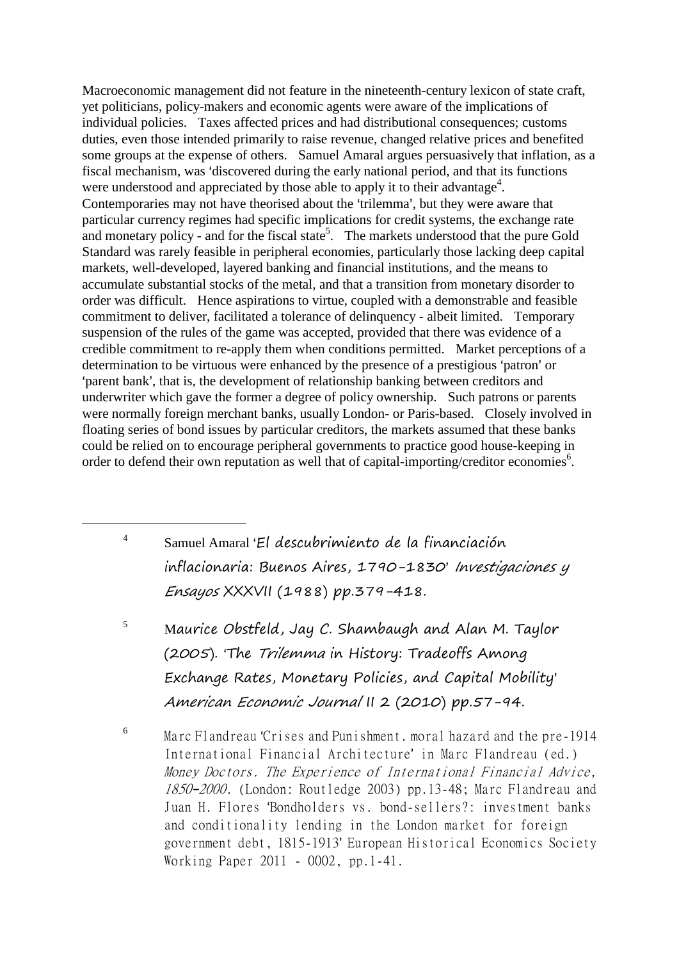Macroeconomic management did not feature in the nineteenth-century lexicon of state craft, yet politicians, policy-makers and economic agents were aware of the implications of individual policies. Taxes affected prices and had distributional consequences; customs duties, even those intended primarily to raise revenue, changed relative prices and benefited some groups at the expense of others. Samuel Amaral argues persuasively that inflation, as a fiscal mechanism, was 'discovered during the early national period, and that its functions were understood and appreciated by those able to apply it to their advantage<sup>4</sup>. Contemporaries may not have theorised about the 'trilemma', but they were aware that particular currency regimes had specific implications for credit systems, the exchange rate and monetary policy - and for the fiscal state<sup>5</sup>. The markets understood that the pure Gold Standard was rarely feasible in peripheral economies, particularly those lacking deep capital markets, well-developed, layered banking and financial institutions, and the means to accumulate substantial stocks of the metal, and that a transition from monetary disorder to order was difficult. Hence aspirations to virtue, coupled with a demonstrable and feasible commitment to deliver, facilitated a tolerance of delinquency - albeit limited. Temporary suspension of the rules of the game was accepted, provided that there was evidence of a credible commitment to re-apply them when conditions permitted. Market perceptions of a determination to be virtuous were enhanced by the presence of a prestigious 'patron' or 'parent bank', that is, the development of relationship banking between creditors and underwriter which gave the former a degree of policy ownership. Such patrons or parents were normally foreign merchant banks, usually London- or Paris-based. Closely involved in floating series of bond issues by particular creditors, the markets assumed that these banks could be relied on to encourage peripheral governments to practice good house-keeping in order to defend their own reputation as well that of capital-importing/creditor economies<sup>6</sup>.

4 Samuel Amaral El descubrimiento de la financiación inflacionaria: Buenos Aires, 1790-1830<sup>,</sup> Investigaciones y Ensayos XXXVII (1988) pp.379-418.

1

- $5$  Maurice Obstfeld, Jay C. Shambaugh and Alan M. Taylor (2005). 'The Trilemma in History: Tradeoffs Among Exchange Rates, Monetary Policies, and Capital Mobility= American Economic Journal II 2 (2010) pp.57-94.
- 6 Marc Flandreau 'Crises and Punishment. moral hazard and the pre-1914 International Financial Architecture' in Marc Flandreau (ed.) Money Doctors. The Experience of International Financial Advice, 1850-2000. (London: Routledge 2003) pp.13-48; Marc Flandreau and Juan H. Flores 'Bondholders vs. bond-sellers?: investment banks and conditionality lending in the London market for foreign government debt, 1815-1913' European Historical Economics Society Working Paper 2011 - 0002, pp.1-41.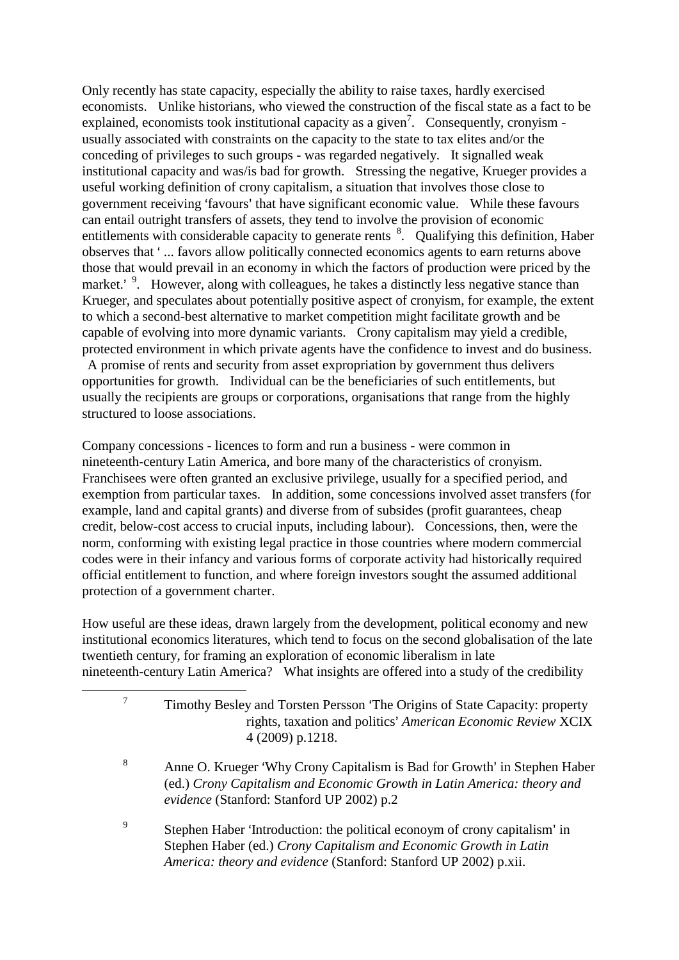Only recently has state capacity, especially the ability to raise taxes, hardly exercised economists. Unlike historians, who viewed the construction of the fiscal state as a fact to be explained, economists took institutional capacity as a given<sup>7</sup>. Consequently, cronyism usually associated with constraints on the capacity to the state to tax elites and/or the conceding of privileges to such groups - was regarded negatively. It signalled weak institutional capacity and was/is bad for growth. Stressing the negative, Krueger provides a useful working definition of crony capitalism, a situation that involves those close to government receiving 'favours' that have significant economic value. While these favours can entail outright transfers of assets, they tend to involve the provision of economic entitlements with considerable capacity to generate rents <sup>8</sup>. Qualifying this definition, Haber observes that '... favors allow politically connected economics agents to earn returns above those that would prevail in an economy in which the factors of production were priced by the market.'<sup>9</sup>. However, along with colleagues, he takes a distinctly less negative stance than Krueger, and speculates about potentially positive aspect of cronyism, for example, the extent to which a second-best alternative to market competition might facilitate growth and be capable of evolving into more dynamic variants. Crony capitalism may yield a credible, protected environment in which private agents have the confidence to invest and do business. A promise of rents and security from asset expropriation by government thus delivers opportunities for growth. Individual can be the beneficiaries of such entitlements, but usually the recipients are groups or corporations, organisations that range from the highly structured to loose associations.

Company concessions - licences to form and run a business - were common in nineteenth-century Latin America, and bore many of the characteristics of cronyism. Franchisees were often granted an exclusive privilege, usually for a specified period, and exemption from particular taxes. In addition, some concessions involved asset transfers (for example, land and capital grants) and diverse from of subsides (profit guarantees, cheap credit, below-cost access to crucial inputs, including labour). Concessions, then, were the norm, conforming with existing legal practice in those countries where modern commercial codes were in their infancy and various forms of corporate activity had historically required official entitlement to function, and where foreign investors sought the assumed additional protection of a government charter.

How useful are these ideas, drawn largely from the development, political economy and new institutional economics literatures, which tend to focus on the second globalisation of the late twentieth century, for framing an exploration of economic liberalism in late nineteenth-century Latin America? What insights are offered into a study of the credibility

|   | Timothy Besley and Torsten Persson 'The Origins of State Capacity: property<br>rights, taxation and politics' American Economic Review XCIX<br>4 (2009) p.1218.                                                     |
|---|---------------------------------------------------------------------------------------------------------------------------------------------------------------------------------------------------------------------|
| 8 | Anne O. Krueger 'Why Crony Capitalism is Bad for Growth' in Stephen Haber<br>(ed.) Crony Capitalism and Economic Growth in Latin America: theory and<br>evidence (Stanford: Stanford UP 2002) p.2                   |
| 9 | Stephen Haber 'Introduction: the political econoym of crony capitalism' in<br>Stephen Haber (ed.) Crony Capitalism and Economic Growth in Latin<br>America: theory and evidence (Stanford: Stanford UP 2002) p.xii. |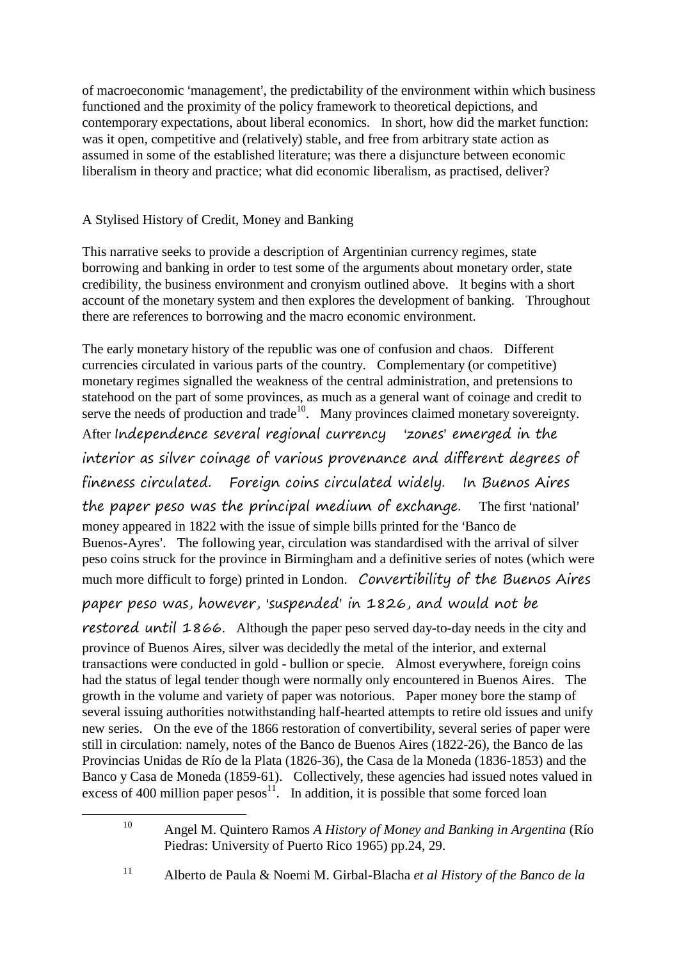of macroeconomic 'management', the predictability of the environment within which business functioned and the proximity of the policy framework to theoretical depictions, and contemporary expectations, about liberal economics. In short, how did the market function: was it open, competitive and (relatively) stable, and free from arbitrary state action as assumed in some of the established literature; was there a disjuncture between economic liberalism in theory and practice; what did economic liberalism, as practised, deliver?

# A Stylised History of Credit, Money and Banking

1

This narrative seeks to provide a description of Argentinian currency regimes, state borrowing and banking in order to test some of the arguments about monetary order, state credibility, the business environment and cronyism outlined above. It begins with a short account of the monetary system and then explores the development of banking. Throughout there are references to borrowing and the macro economic environment.

The early monetary history of the republic was one of confusion and chaos. Different currencies circulated in various parts of the country. Complementary (or competitive) monetary regimes signalled the weakness of the central administration, and pretensions to statehood on the part of some provinces, as much as a general want of coinage and credit to serve the needs of production and trade<sup>10</sup>. Many provinces claimed monetary sovereignty. After Independence several regional currency 'zones' emerged in the interior as silver coinage of various provenance and different degrees of fineness circulated. Foreign coins circulated widely. In Buenos Aires the paper peso was the principal medium of exchange. The first 'national' money appeared in 1822 with the issue of simple bills printed for the 'Banco de Buenos-Ayres'. The following year, circulation was standardised with the arrival of silver peso coins struck for the province in Birmingham and a definitive series of notes (which were much more difficult to forge) printed in London. Convertibility of the Buenos Aires

paper peso was, however, 'suspended' in 1826, and would not be

restored until 1866. Although the paper peso served day-to-day needs in the city and province of Buenos Aires, silver was decidedly the metal of the interior, and external transactions were conducted in gold - bullion or specie. Almost everywhere, foreign coins had the status of legal tender though were normally only encountered in Buenos Aires. The growth in the volume and variety of paper was notorious. Paper money bore the stamp of several issuing authorities notwithstanding half-hearted attempts to retire old issues and unify new series. On the eve of the 1866 restoration of convertibility, several series of paper were still in circulation: namely, notes of the Banco de Buenos Aires (1822-26), the Banco de las Provincias Unidas de Río de la Plata (1826-36), the Casa de la Moneda (1836-1853) and the Banco y Casa de Moneda (1859-61). Collectively, these agencies had issued notes valued in excess of 400 million paper  $pesos<sup>11</sup>$ . In addition, it is possible that some forced loan

<sup>10</sup> Angel M. Quintero Ramos *A History of Money and Banking in Argentina* (Río Piedras: University of Puerto Rico 1965) pp.24, 29.

<sup>11</sup> Alberto de Paula & Noemi M. Girbal-Blacha *et al History of the Banco de la*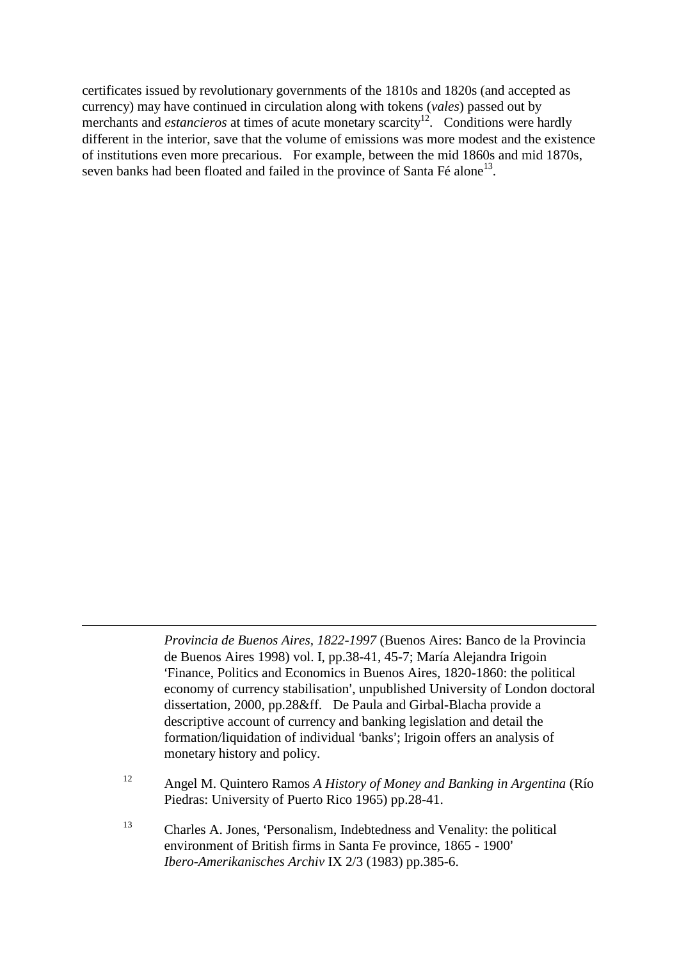certificates issued by revolutionary governments of the 1810s and 1820s (and accepted as currency) may have continued in circulation along with tokens (*vales*) passed out by merchants and *estancieros* at times of acute monetary scarcity<sup>12</sup>. Conditions were hardly different in the interior, save that the volume of emissions was more modest and the existence of institutions even more precarious. For example, between the mid 1860s and mid 1870s, seven banks had been floated and failed in the province of Santa Fé alone<sup>13</sup>.

> *Provincia de Buenos Aires, 1822-1997* (Buenos Aires: Banco de la Provincia de Buenos Aires 1998) vol. I, pp.38-41, 45-7; María Alejandra Irigoin >Finance, Politics and Economics in Buenos Aires, 1820-1860: the political economy of currency stabilisation', unpublished University of London doctoral dissertation, 2000, pp.28&ff. De Paula and Girbal-Blacha provide a descriptive account of currency and banking legislation and detail the formation/liquidation of individual 'banks'; Irigoin offers an analysis of monetary history and policy.

- <sup>12</sup> Angel M. Quintero Ramos *A History of Money and Banking in Argentina* (Río Piedras: University of Puerto Rico 1965) pp.28-41.
- $13$  Charles A. Jones, 'Personalism, Indebtedness and Venality: the political environment of British firms in Santa Fe province, 1865 - 1900' *Ibero-Amerikanisches Archiv* IX 2/3 (1983) pp.385-6.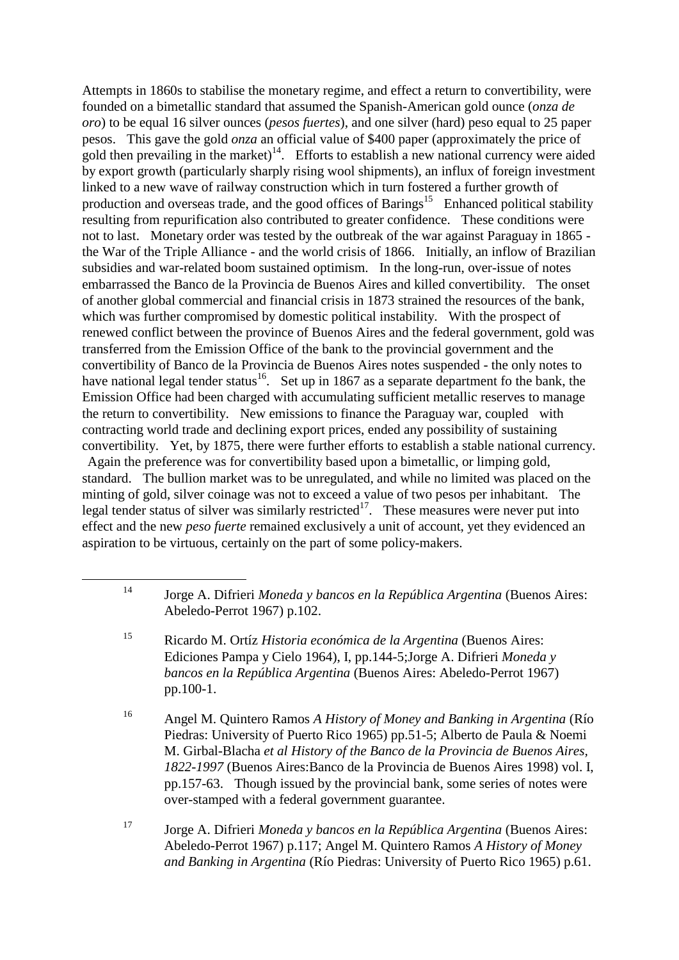Attempts in 1860s to stabilise the monetary regime, and effect a return to convertibility, were founded on a bimetallic standard that assumed the Spanish-American gold ounce (*onza de oro*) to be equal 16 silver ounces (*pesos fuertes*), and one silver (hard) peso equal to 25 paper pesos. This gave the gold *onza* an official value of \$400 paper (approximately the price of gold then prevailing in the market)<sup>14</sup>. Efforts to establish a new national currency were aided by export growth (particularly sharply rising wool shipments), an influx of foreign investment linked to a new wave of railway construction which in turn fostered a further growth of production and overseas trade, and the good offices of Barings<sup>15</sup> Enhanced political stability resulting from repurification also contributed to greater confidence. These conditions were not to last. Monetary order was tested by the outbreak of the war against Paraguay in 1865 the War of the Triple Alliance - and the world crisis of 1866. Initially, an inflow of Brazilian subsidies and war-related boom sustained optimism. In the long-run, over-issue of notes embarrassed the Banco de la Provincia de Buenos Aires and killed convertibility. The onset of another global commercial and financial crisis in 1873 strained the resources of the bank, which was further compromised by domestic political instability. With the prospect of renewed conflict between the province of Buenos Aires and the federal government, gold was transferred from the Emission Office of the bank to the provincial government and the convertibility of Banco de la Provincia de Buenos Aires notes suspended - the only notes to have national legal tender status<sup>16</sup>. Set up in 1867 as a separate department fo the bank, the Emission Office had been charged with accumulating sufficient metallic reserves to manage the return to convertibility. New emissions to finance the Paraguay war, coupled with contracting world trade and declining export prices, ended any possibility of sustaining convertibility. Yet, by 1875, there were further efforts to establish a stable national currency. Again the preference was for convertibility based upon a bimetallic, or limping gold, standard. The bullion market was to be unregulated, and while no limited was placed on the minting of gold, silver coinage was not to exceed a value of two pesos per inhabitant. The legal tender status of silver was similarly restricted<sup>17</sup>. These measures were never put into effect and the new *peso fuerte* remained exclusively a unit of account, yet they evidenced an aspiration to be virtuous, certainly on the part of some policy-makers.

<sup>15</sup> Ricardo M. Ortíz *Historia económica de la Argentina* (Buenos Aires: Ediciones Pampa y Cielo 1964), I, pp.144-5;Jorge A. Difrieri *Moneda y bancos en la República Argentina* (Buenos Aires: Abeledo-Perrot 1967) pp.100-1.

1

<sup>16</sup> Angel M. Quintero Ramos *A History of Money and Banking in Argentina* (Río Piedras: University of Puerto Rico 1965) pp.51-5; Alberto de Paula & Noemi M. Girbal-Blacha *et al History of the Banco de la Provincia de Buenos Aires, 1822-1997* (Buenos Aires:Banco de la Provincia de Buenos Aires 1998) vol. I, pp.157-63. Though issued by the provincial bank, some series of notes were over-stamped with a federal government guarantee.

<sup>17</sup> Jorge A. Difrieri *Moneda y bancos en la República Argentina* (Buenos Aires: Abeledo-Perrot 1967) p.117; Angel M. Quintero Ramos *A History of Money and Banking in Argentina* (Río Piedras: University of Puerto Rico 1965) p.61.

<sup>14</sup> Jorge A. Difrieri *Moneda y bancos en la República Argentina* (Buenos Aires: Abeledo-Perrot 1967) p.102.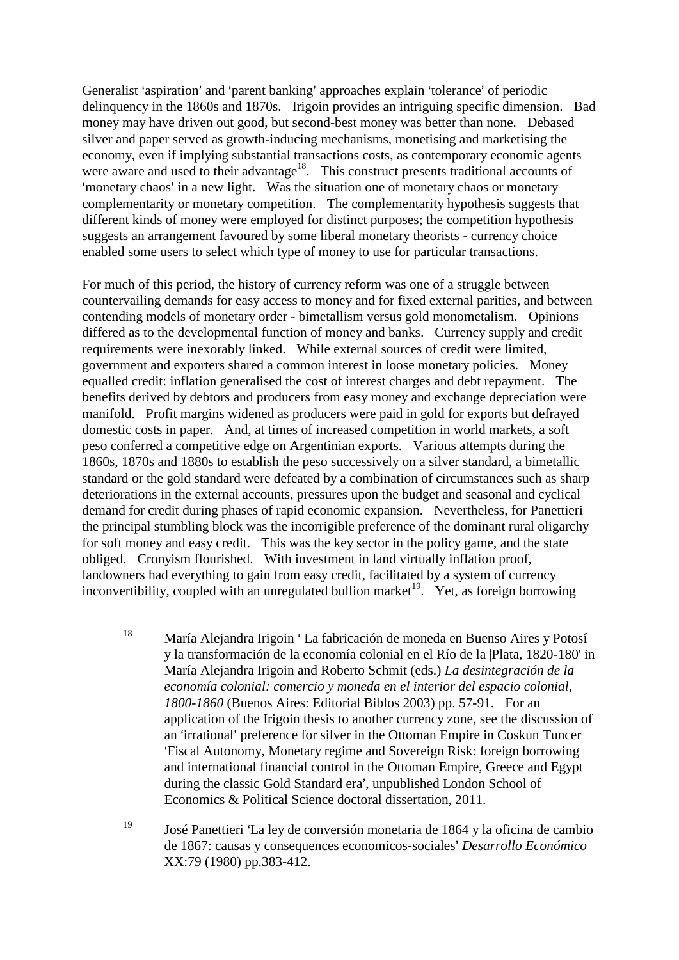Generalist 'aspiration' and 'parent banking' approaches explain 'tolerance' of periodic delinquency in the 1860s and 1870s. Irigoin provides an intriguing specific dimension. Bad money may have driven out good, but second-best money was better than none. Debased silver and paper served as growth-inducing mechanisms, monetising and marketising the economy, even if implying substantial transactions costs, as contemporary economic agents were aware and used to their advantage<sup>18</sup>. This construct presents traditional accounts of 'monetary chaos' in a new light. Was the situation one of monetary chaos or monetary complementarity or monetary competition. The complementarity hypothesis suggests that different kinds of money were employed for distinct purposes; the competition hypothesis suggests an arrangement favoured by some liberal monetary theorists - currency choice enabled some users to select which type of money to use for particular transactions.

For much of this period, the history of currency reform was one of a struggle between countervailing demands for easy access to money and for fixed external parities, and between contending models of monetary order - bimetallism versus gold monometalism. Opinions differed as to the developmental function of money and banks. Currency supply and credit requirements were inexorably linked. While external sources of credit were limited, government and exporters shared a common interest in loose monetary policies. Money equalled credit: inflation generalised the cost of interest charges and debt repayment. The benefits derived by debtors and producers from easy money and exchange depreciation were manifold. Profit margins widened as producers were paid in gold for exports but defrayed domestic costs in paper. And, at times of increased competition in world markets, a soft peso conferred a competitive edge on Argentinian exports. Various attempts during the 1860s, 1870s and 1880s to establish the peso successively on a silver standard, a bimetallic standard or the gold standard were defeated by a combination of circumstances such as sharp deteriorations in the external accounts, pressures upon the budget and seasonal and cyclical demand for credit during phases of rapid economic expansion. Nevertheless, for Panettieri the principal stumbling block was the incorrigible preference of the dominant rural oligarchy for soft money and easy credit. This was the key sector in the policy game, and the state obliged. Cronyism flourished. With investment in land virtually inflation proof, landowners had everything to gain from easy credit, facilitated by a system of currency inconvertibility, coupled with an unregulated bullion market<sup>19</sup>. Yet, as foreign borrowing

<sup>&</sup>lt;sup>18</sup> María Alejandra Irigoin 'La fabricación de moneda en Buenso Aires y Potosí y la transformación de la economía colonial en el Río de la |Plata, 1820-180' in María Alejandra Irigoin and Roberto Schmit (eds.) *La desintegración de la economía colonial: comercio y moneda en el interior del espacio colonial, 1800-1860* (Buenos Aires: Editorial Biblos 2003) pp. 57-91. For an application of the Irigoin thesis to another currency zone, see the discussion of an 'irrational' preference for silver in the Ottoman Empire in Coskun Tuncer >Fiscal Autonomy, Monetary regime and Sovereign Risk: foreign borrowing and international financial control in the Ottoman Empire, Greece and Egypt during the classic Gold Standard era', unpublished London School of Economics & Political Science doctoral dissertation, 2011.

 $19$  José Panettieri 'La ley de conversión monetaria de 1864 y la oficina de cambio de 1867: causas y consequences economicos-sociales= *Desarrollo Económico* XX:79 (1980) pp.383-412.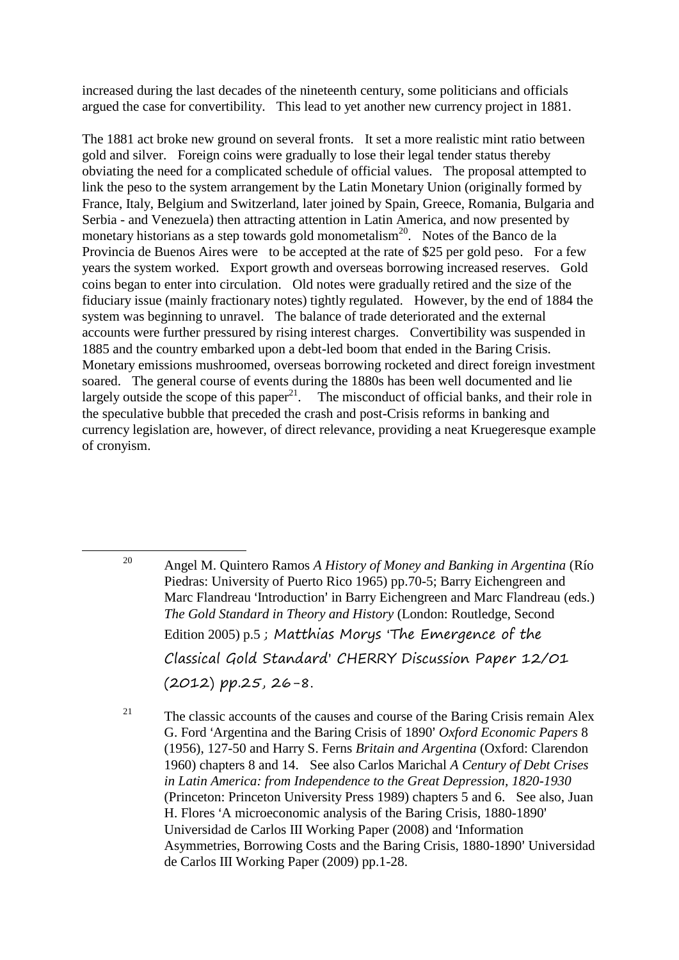increased during the last decades of the nineteenth century, some politicians and officials argued the case for convertibility. This lead to yet another new currency project in 1881.

The 1881 act broke new ground on several fronts. It set a more realistic mint ratio between gold and silver. Foreign coins were gradually to lose their legal tender status thereby obviating the need for a complicated schedule of official values. The proposal attempted to link the peso to the system arrangement by the Latin Monetary Union (originally formed by France, Italy, Belgium and Switzerland, later joined by Spain, Greece, Romania, Bulgaria and Serbia - and Venezuela) then attracting attention in Latin America, and now presented by monetary historians as a step towards gold monometalism<sup>20</sup>. Notes of the Banco de la Provincia de Buenos Aires were to be accepted at the rate of \$25 per gold peso. For a few years the system worked. Export growth and overseas borrowing increased reserves. Gold coins began to enter into circulation. Old notes were gradually retired and the size of the fiduciary issue (mainly fractionary notes) tightly regulated. However, by the end of 1884 the system was beginning to unravel. The balance of trade deteriorated and the external accounts were further pressured by rising interest charges. Convertibility was suspended in 1885 and the country embarked upon a debt-led boom that ended in the Baring Crisis. Monetary emissions mushroomed, overseas borrowing rocketed and direct foreign investment soared. The general course of events during the 1880s has been well documented and lie largely outside the scope of this paper<sup>21</sup>. The misconduct of official banks, and their role in the speculative bubble that preceded the crash and post-Crisis reforms in banking and currency legislation are, however, of direct relevance, providing a neat Kruegeresque example of cronyism.

<sup>20</sup> Angel M. Quintero Ramos *A History of Money and Banking in Argentina* (Río Piedras: University of Puerto Rico 1965) pp.70-5; Barry Eichengreen and Marc Flandreau 'Introduction' in Barry Eichengreen and Marc Flandreau (eds.) *The Gold Standard in Theory and History* (London: Routledge, Second Edition 2005) p.5; Matthias Morys 'The Emergence of the Classical Gold Standard' CHERRY Discussion Paper 12/01 (2012) pp.25, 26-8.

1

<sup>21</sup> The classic accounts of the causes and course of the Baring Crisis remain Alex G. Ford 'Argentina and the Baring Crisis of 1890' *Oxford Economic Papers* 8 (1956), 127-50 and Harry S. Ferns *Britain and Argentina* (Oxford: Clarendon 1960) chapters 8 and 14. See also Carlos Marichal *A Century of Debt Crises in Latin America: from Independence to the Great Depression, 1820-1930* (Princeton: Princeton University Press 1989) chapters 5 and 6. See also, Juan H. Flores 'A microeconomic analysis of the Baring Crisis, 1880-1890' Universidad de Carlos III Working Paper (2008) and 'Information Asymmetries, Borrowing Costs and the Baring Crisis, 1880-1890' Universidad de Carlos III Working Paper (2009) pp.1-28.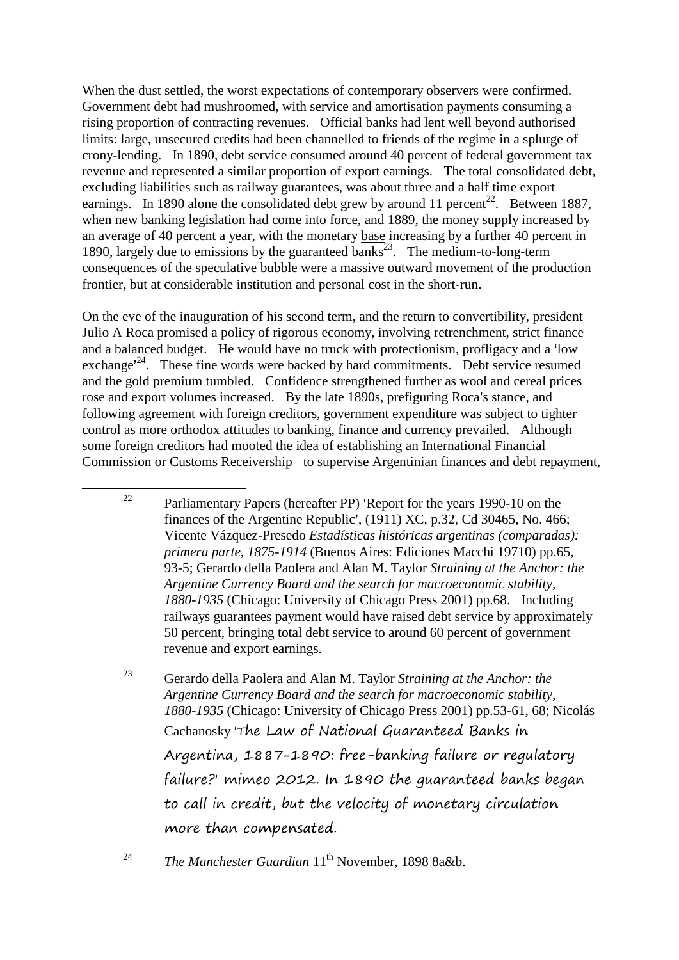When the dust settled, the worst expectations of contemporary observers were confirmed. Government debt had mushroomed, with service and amortisation payments consuming a rising proportion of contracting revenues. Official banks had lent well beyond authorised limits: large, unsecured credits had been channelled to friends of the regime in a splurge of crony-lending. In 1890, debt service consumed around 40 percent of federal government tax revenue and represented a similar proportion of export earnings. The total consolidated debt, excluding liabilities such as railway guarantees, was about three and a half time export earnings. In 1890 alone the consolidated debt grew by around 11 percent<sup>22</sup>. Between 1887, when new banking legislation had come into force, and 1889, the money supply increased by an average of 40 percent a year, with the monetary base increasing by a further 40 percent in 1890, largely due to emissions by the guaranteed banks<sup>23</sup>. The medium-to-long-term consequences of the speculative bubble were a massive outward movement of the production frontier, but at considerable institution and personal cost in the short-run.

On the eve of the inauguration of his second term, and the return to convertibility, president Julio A Roca promised a policy of rigorous economy, involving retrenchment, strict finance and a balanced budget. He would have no truck with protectionism, profligacy and a 'low exchange<sup> $24$ </sup>. These fine words were backed by hard commitments. Debt service resumed and the gold premium tumbled. Confidence strengthened further as wool and cereal prices rose and export volumes increased. By the late 1890s, prefiguring Roca's stance, and following agreement with foreign creditors, government expenditure was subject to tighter control as more orthodox attitudes to banking, finance and currency prevailed. Although some foreign creditors had mooted the idea of establishing an International Financial Commission or Customs Receivership to supervise Argentinian finances and debt repayment,

<sup>&</sup>lt;sup>22</sup> Parliamentary Papers (hereafter PP) 'Report for the years 1990-10 on the finances of the Argentine Republic',  $(1911)$  XC, p.32, Cd 30465, No. 466; Vicente Vázquez-Presedo *Estadísticas históricas argentinas (comparadas): primera parte, 1875-1914* (Buenos Aires: Ediciones Macchi 19710) pp.65, 93-5; Gerardo della Paolera and Alan M. Taylor *Straining at the Anchor: the Argentine Currency Board and the search for macroeconomic stability, 1880-1935* (Chicago: University of Chicago Press 2001) pp.68. Including railways guarantees payment would have raised debt service by approximately 50 percent, bringing total debt service to around 60 percent of government revenue and export earnings.

<sup>23</sup> Gerardo della Paolera and Alan M. Taylor *Straining at the Anchor: the Argentine Currency Board and the search for macroeconomic stability, 1880-1935* (Chicago: University of Chicago Press 2001) pp.53-61, 68; Nicolás Cachanosky 'The Law of National Guaranteed Banks in Argentina, 1887-1890: free-banking failure or regulatory failure? mimeo 2012. In 1890 the guaranteed banks began to call in credit, but the velocity of monetary circulation more than compensated.

<sup>&</sup>lt;sup>24</sup> *The Manchester Guardian* 11<sup>th</sup> November, 1898 8a&b.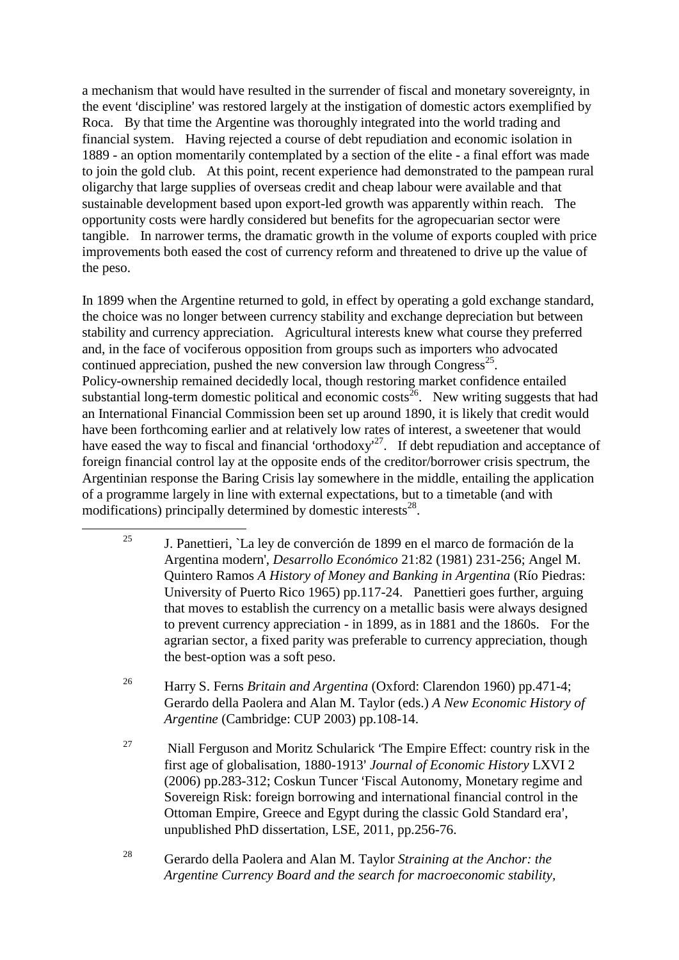a mechanism that would have resulted in the surrender of fiscal and monetary sovereignty, in the event 'discipline' was restored largely at the instigation of domestic actors exemplified by Roca. By that time the Argentine was thoroughly integrated into the world trading and financial system. Having rejected a course of debt repudiation and economic isolation in 1889 - an option momentarily contemplated by a section of the elite - a final effort was made to join the gold club. At this point, recent experience had demonstrated to the pampean rural oligarchy that large supplies of overseas credit and cheap labour were available and that sustainable development based upon export-led growth was apparently within reach. The opportunity costs were hardly considered but benefits for the agropecuarian sector were tangible. In narrower terms, the dramatic growth in the volume of exports coupled with price improvements both eased the cost of currency reform and threatened to drive up the value of the peso.

In 1899 when the Argentine returned to gold, in effect by operating a gold exchange standard, the choice was no longer between currency stability and exchange depreciation but between stability and currency appreciation. Agricultural interests knew what course they preferred and, in the face of vociferous opposition from groups such as importers who advocated continued appreciation, pushed the new conversion law through  $\text{Congress}^{25}$ . Policy-ownership remained decidedly local, though restoring market confidence entailed substantial long-term domestic political and economic costs<sup>26</sup>. New writing suggests that had an International Financial Commission been set up around 1890, it is likely that credit would have been forthcoming earlier and at relatively low rates of interest, a sweetener that would have eased the way to fiscal and financial 'orthodoxy<sup>27</sup>. If debt repudiation and acceptance of foreign financial control lay at the opposite ends of the creditor/borrower crisis spectrum, the Argentinian response the Baring Crisis lay somewhere in the middle, entailing the application of a programme largely in line with external expectations, but to a timetable (and with modifications) principally determined by domestic interests<sup>28</sup>.

1

- <sup>25</sup> J. Panettieri, `La ley de converción de 1899 en el marco de formación de la Argentina modern', *Desarrollo Económico* 21:82 (1981) 231-256; Angel M. Quintero Ramos *A History of Money and Banking in Argentina* (Río Piedras: University of Puerto Rico 1965) pp.117-24. Panettieri goes further, arguing that moves to establish the currency on a metallic basis were always designed to prevent currency appreciation - in 1899, as in 1881 and the 1860s. For the agrarian sector, a fixed parity was preferable to currency appreciation, though the best-option was a soft peso.
- <sup>26</sup> Harry S. Ferns *Britain and Argentina* (Oxford: Clarendon 1960) pp.471-4; Gerardo della Paolera and Alan M. Taylor (eds.) *A New Economic History of Argentine* (Cambridge: CUP 2003) pp.108-14.
- <sup>27</sup> Niall Ferguson and Moritz Schularick  $\Delta$ The Empire Effect: country risk in the first age of globalisation, 1880-1913' Journal of Economic History LXVI 2  $(2006)$  pp.283-312; Coskun Tuncer 'Fiscal Autonomy, Monetary regime and Sovereign Risk: foreign borrowing and international financial control in the Ottoman Empire, Greece and Egypt during the classic Gold Standard era', unpublished PhD dissertation, LSE, 2011, pp.256-76.
- <sup>28</sup> Gerardo della Paolera and Alan M. Taylor *Straining at the Anchor: the Argentine Currency Board and the search for macroeconomic stability,*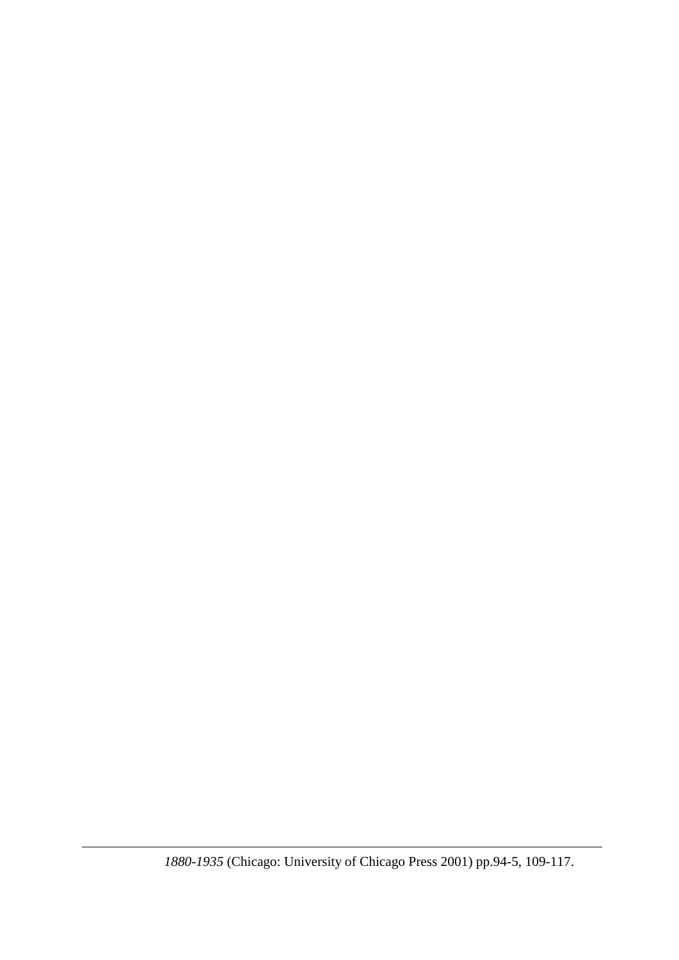*1880-1935* (Chicago: University of Chicago Press 2001) pp.94-5, 109-117.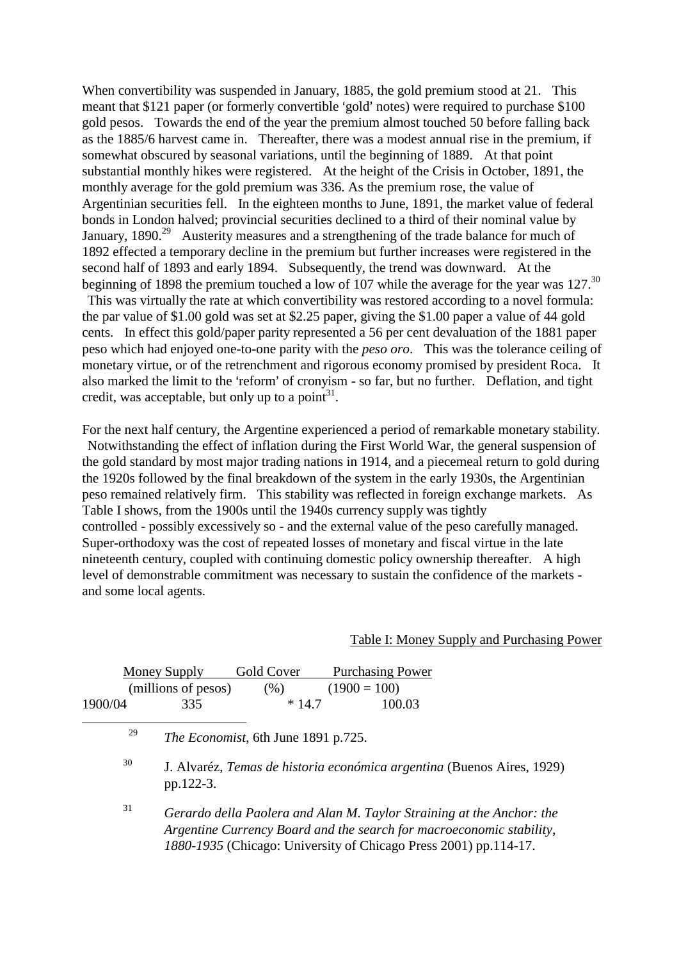When convertibility was suspended in January, 1885, the gold premium stood at 21. This meant that  $$121$  paper (or formerly convertible 'gold' notes) were required to purchase  $$100$ gold pesos. Towards the end of the year the premium almost touched 50 before falling back as the 1885/6 harvest came in. Thereafter, there was a modest annual rise in the premium, if somewhat obscured by seasonal variations, until the beginning of 1889. At that point substantial monthly hikes were registered. At the height of the Crisis in October, 1891, the monthly average for the gold premium was 336. As the premium rose, the value of Argentinian securities fell. In the eighteen months to June, 1891, the market value of federal bonds in London halved; provincial securities declined to a third of their nominal value by January, 1890.<sup>29</sup> Austerity measures and a strengthening of the trade balance for much of 1892 effected a temporary decline in the premium but further increases were registered in the second half of 1893 and early 1894. Subsequently, the trend was downward. At the beginning of 1898 the premium touched a low of 107 while the average for the year was  $127$ <sup>30</sup> This was virtually the rate at which convertibility was restored according to a novel formula: the par value of \$1.00 gold was set at \$2.25 paper, giving the \$1.00 paper a value of 44 gold

cents. In effect this gold/paper parity represented a 56 per cent devaluation of the 1881 paper peso which had enjoyed one-to-one parity with the *peso oro*. This was the tolerance ceiling of monetary virtue, or of the retrenchment and rigorous economy promised by president Roca. It also marked the limit to the 'reform' of cronyism - so far, but no further. Deflation, and tight credit, was acceptable, but only up to a point $3^1$ .

For the next half century, the Argentine experienced a period of remarkable monetary stability. Notwithstanding the effect of inflation during the First World War, the general suspension of the gold standard by most major trading nations in 1914, and a piecemeal return to gold during the 1920s followed by the final breakdown of the system in the early 1930s, the Argentinian peso remained relatively firm. This stability was reflected in foreign exchange markets. As Table I shows, from the 1900s until the 1940s currency supply was tightly controlled - possibly excessively so - and the external value of the peso carefully managed. Super-orthodoxy was the cost of repeated losses of monetary and fiscal virtue in the late nineteenth century, coupled with continuing domestic policy ownership thereafter. A high level of demonstrable commitment was necessary to sustain the confidence of the markets and some local agents.

#### Table I: Money Supply and Purchasing Power

|         |                                                   | Money Supply        | Gold Cover                                                             | <b>Purchasing Power</b>                                          |                                                                                                                                               |  |
|---------|---------------------------------------------------|---------------------|------------------------------------------------------------------------|------------------------------------------------------------------|-----------------------------------------------------------------------------------------------------------------------------------------------|--|
|         |                                                   | (millions of pesos) | (% )                                                                   | $(1900 = 100)$                                                   |                                                                                                                                               |  |
| 1900/04 |                                                   | 335                 | $*14.7$                                                                | 100.03                                                           |                                                                                                                                               |  |
|         | 29<br><i>The Economist</i> , 6th June 1891 p.725. |                     |                                                                        |                                                                  |                                                                                                                                               |  |
|         | 30                                                | pp.122-3.           | J. Alvaréz, Temas de historia económica argentina (Buenos Aires, 1929) |                                                                  |                                                                                                                                               |  |
|         | 31                                                |                     |                                                                        | 1880-1935 (Chicago: University of Chicago Press 2001) pp.114-17. | Gerardo della Paolera and Alan M. Taylor Straining at the Anchor: the<br>Argentine Currency Board and the search for macroeconomic stability, |  |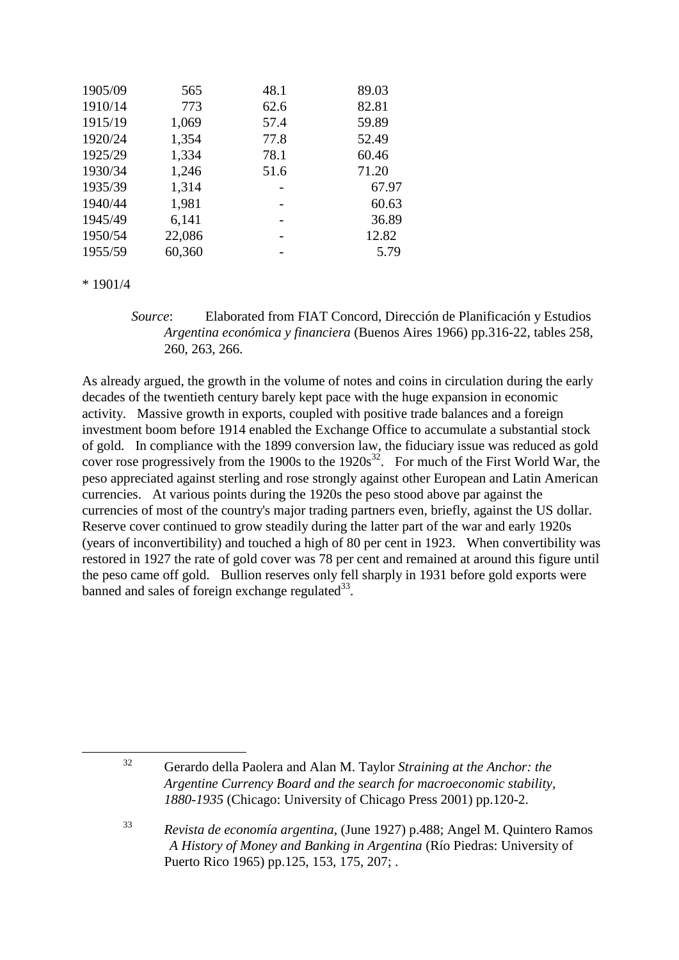| 1905/09 | 565    | 48.1 | 89.03 |
|---------|--------|------|-------|
| 1910/14 | 773    | 62.6 | 82.81 |
| 1915/19 | 1,069  | 57.4 | 59.89 |
| 1920/24 | 1,354  | 77.8 | 52.49 |
| 1925/29 | 1,334  | 78.1 | 60.46 |
| 1930/34 | 1,246  | 51.6 | 71.20 |
| 1935/39 | 1,314  |      | 67.97 |
| 1940/44 | 1,981  |      | 60.63 |
| 1945/49 | 6,141  |      | 36.89 |
| 1950/54 | 22,086 |      | 12.82 |
| 1955/59 | 60,360 |      | 5.79  |

\* 1901/4

 *Source*: Elaborated from FIAT Concord, Dirección de Planificación y Estudios *Argentina económica y financiera* (Buenos Aires 1966) pp.316-22, tables 258, 260, 263, 266.

As already argued, the growth in the volume of notes and coins in circulation during the early decades of the twentieth century barely kept pace with the huge expansion in economic activity. Massive growth in exports, coupled with positive trade balances and a foreign investment boom before 1914 enabled the Exchange Office to accumulate a substantial stock of gold. In compliance with the 1899 conversion law, the fiduciary issue was reduced as gold cover rose progressively from the 1900s to the  $1920s^{32}$ . For much of the First World War, the peso appreciated against sterling and rose strongly against other European and Latin American currencies. At various points during the 1920s the peso stood above par against the currencies of most of the country's major trading partners even, briefly, against the US dollar. Reserve cover continued to grow steadily during the latter part of the war and early 1920s (years of inconvertibility) and touched a high of 80 per cent in 1923. When convertibility was restored in 1927 the rate of gold cover was 78 per cent and remained at around this figure until the peso came off gold. Bullion reserves only fell sharply in 1931 before gold exports were banned and sales of foreign exchange regulated<sup>33</sup>.

1

<sup>32</sup> Gerardo della Paolera and Alan M. Taylor *Straining at the Anchor: the Argentine Currency Board and the search for macroeconomic stability, 1880-1935* (Chicago: University of Chicago Press 2001) pp.120-2.

<sup>33</sup> *Revista de economía argentina*, (June 1927) p.488; Angel M. Quintero Ramos *A History of Money and Banking in Argentina* (Río Piedras: University of Puerto Rico 1965) pp.125, 153, 175, 207; .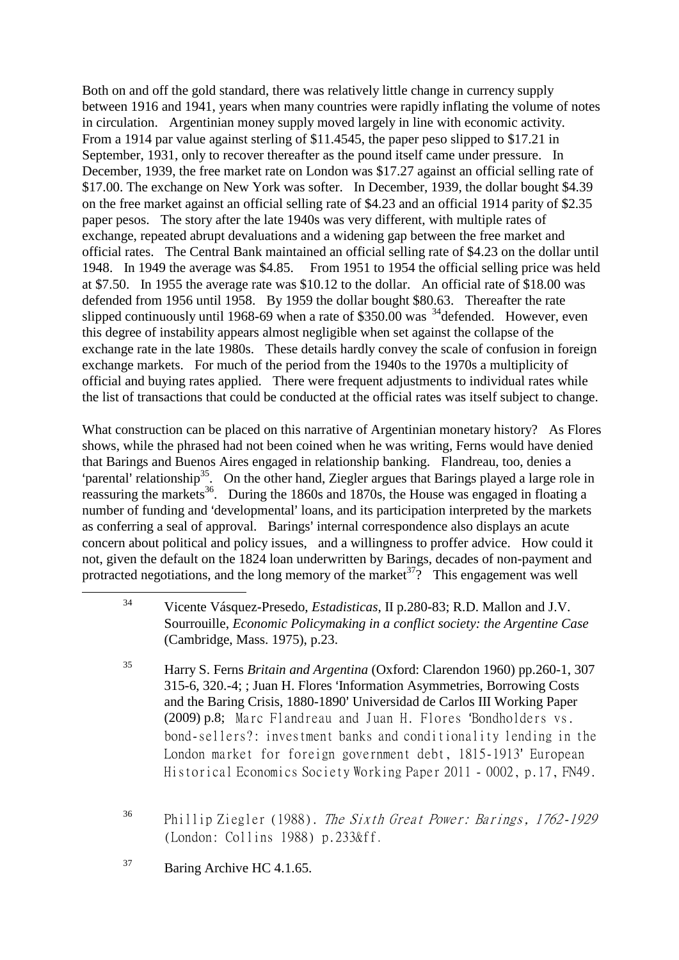Both on and off the gold standard, there was relatively little change in currency supply between 1916 and 1941, years when many countries were rapidly inflating the volume of notes in circulation. Argentinian money supply moved largely in line with economic activity. From a 1914 par value against sterling of \$11.4545, the paper peso slipped to \$17.21 in September, 1931, only to recover thereafter as the pound itself came under pressure. In December, 1939, the free market rate on London was \$17.27 against an official selling rate of \$17.00. The exchange on New York was softer. In December, 1939, the dollar bought \$4.39 on the free market against an official selling rate of \$4.23 and an official 1914 parity of \$2.35 paper pesos. The story after the late 1940s was very different, with multiple rates of exchange, repeated abrupt devaluations and a widening gap between the free market and official rates. The Central Bank maintained an official selling rate of \$4.23 on the dollar until 1948. In 1949 the average was \$4.85. From 1951 to 1954 the official selling price was held at \$7.50. In 1955 the average rate was \$10.12 to the dollar. An official rate of \$18.00 was defended from 1956 until 1958. By 1959 the dollar bought \$80.63. Thereafter the rate slipped continuously until 1968-69 when a rate of  $$350.00$  was <sup>34</sup>defended. However, even this degree of instability appears almost negligible when set against the collapse of the exchange rate in the late 1980s. These details hardly convey the scale of confusion in foreign exchange markets. For much of the period from the 1940s to the 1970s a multiplicity of official and buying rates applied. There were frequent adjustments to individual rates while the list of transactions that could be conducted at the official rates was itself subject to change.

What construction can be placed on this narrative of Argentinian monetary history? As Flores shows, while the phrased had not been coined when he was writing, Ferns would have denied that Barings and Buenos Aires engaged in relationship banking. Flandreau, too, denies a 'parental' relationship<sup>35</sup>. On the other hand, Ziegler argues that Barings played a large role in reassuring the markets<sup>36</sup>. During the 1860s and 1870s, the House was engaged in floating a number of funding and 'developmental' loans, and its participation interpreted by the markets as conferring a seal of approval. Barings' internal correspondence also displays an acute concern about political and policy issues, and a willingness to proffer advice. How could it not, given the default on the 1824 loan underwritten by Barings, decades of non-payment and protracted negotiations, and the long memory of the market<sup>37</sup>? This engagement was well

<sup>37</sup> Baring Archive HC 4.1.65.

<sup>34</sup> Vicente Vásquez-Presedo, *Estadisticas*, II p.280-83; R.D. Mallon and J.V. Sourrouille, *Economic Policymaking in a conflict society: the Argentine Case* (Cambridge, Mass. 1975), p.23.

<sup>35</sup> Harry S. Ferns *Britain and Argentina* (Oxford: Clarendon 1960) pp.260-1, 307 315-6, 320.-4; ; Juan H. Flores 'Information Asymmetries, Borrowing Costs and the Baring Crisis, 1880-1890' Universidad de Carlos III Working Paper (2009) p.8; Marc Flandreau and Juan H. Flores 'Bondholders vs. bond-sellers?: investment banks and conditionality lending in the London market for foreign government debt, 1815-1913' European Historical Economics Society Working Paper 2011 - 0002, p.17, FN49.

<sup>&</sup>lt;sup>36</sup> Phillip Ziegler (1988). The Sixth Great Power: Barings, 1762-1929 (London: Collins 1988) p.233&ff.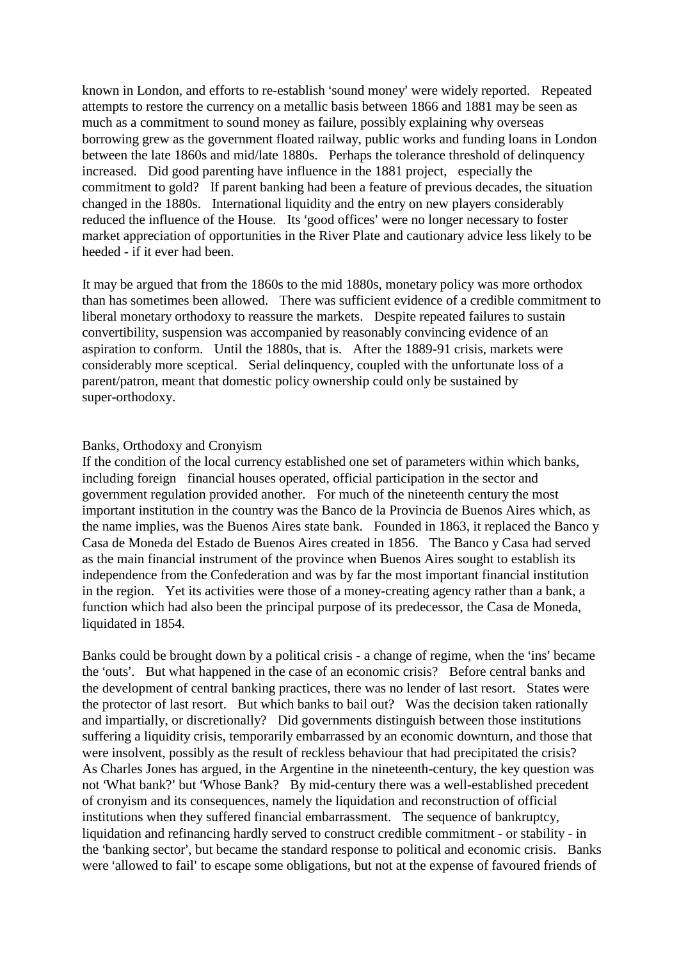known in London, and efforts to re-establish 'sound money' were widely reported. Repeated attempts to restore the currency on a metallic basis between 1866 and 1881 may be seen as much as a commitment to sound money as failure, possibly explaining why overseas borrowing grew as the government floated railway, public works and funding loans in London between the late 1860s and mid/late 1880s. Perhaps the tolerance threshold of delinquency increased. Did good parenting have influence in the 1881 project, especially the commitment to gold? If parent banking had been a feature of previous decades, the situation changed in the 1880s. International liquidity and the entry on new players considerably reduced the influence of the House. Its 'good offices' were no longer necessary to foster market appreciation of opportunities in the River Plate and cautionary advice less likely to be heeded - if it ever had been.

It may be argued that from the 1860s to the mid 1880s, monetary policy was more orthodox than has sometimes been allowed. There was sufficient evidence of a credible commitment to liberal monetary orthodoxy to reassure the markets. Despite repeated failures to sustain convertibility, suspension was accompanied by reasonably convincing evidence of an aspiration to conform. Until the 1880s, that is. After the 1889-91 crisis, markets were considerably more sceptical. Serial delinquency, coupled with the unfortunate loss of a parent/patron, meant that domestic policy ownership could only be sustained by super-orthodoxy.

#### Banks, Orthodoxy and Cronyism

If the condition of the local currency established one set of parameters within which banks, including foreign financial houses operated, official participation in the sector and government regulation provided another. For much of the nineteenth century the most important institution in the country was the Banco de la Provincia de Buenos Aires which, as the name implies, was the Buenos Aires state bank. Founded in 1863, it replaced the Banco y Casa de Moneda del Estado de Buenos Aires created in 1856. The Banco y Casa had served as the main financial instrument of the province when Buenos Aires sought to establish its independence from the Confederation and was by far the most important financial institution in the region. Yet its activities were those of a money-creating agency rather than a bank, a function which had also been the principal purpose of its predecessor, the Casa de Moneda, liquidated in 1854.

Banks could be brought down by a political crisis - a change of regime, when the 'ins' became the 'outs'. But what happened in the case of an economic crisis? Before central banks and the development of central banking practices, there was no lender of last resort. States were the protector of last resort. But which banks to bail out? Was the decision taken rationally and impartially, or discretionally? Did governments distinguish between those institutions suffering a liquidity crisis, temporarily embarrassed by an economic downturn, and those that were insolvent, possibly as the result of reckless behaviour that had precipitated the crisis? As Charles Jones has argued, in the Argentine in the nineteenth-century, the key question was not 'What bank?' but 'Whose Bank? By mid-century there was a well-established precedent of cronyism and its consequences, namely the liquidation and reconstruction of official institutions when they suffered financial embarrassment. The sequence of bankruptcy, liquidation and refinancing hardly served to construct credible commitment - or stability - in the 'banking sector', but became the standard response to political and economic crisis. Banks were 'allowed to fail' to escape some obligations, but not at the expense of favoured friends of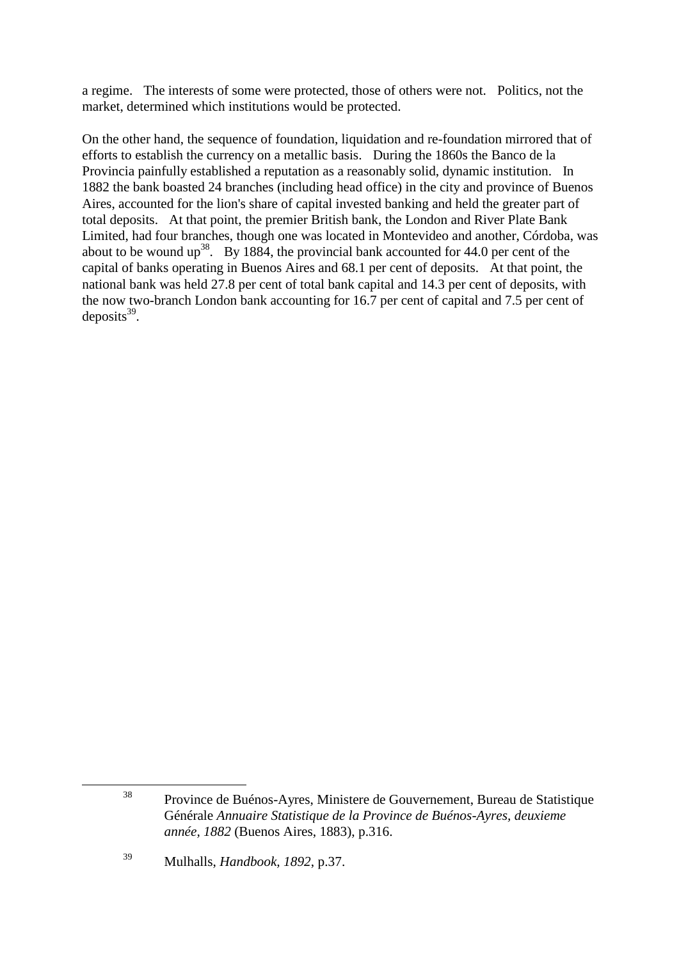a regime. The interests of some were protected, those of others were not. Politics, not the market, determined which institutions would be protected.

On the other hand, the sequence of foundation, liquidation and re-foundation mirrored that of efforts to establish the currency on a metallic basis. During the 1860s the Banco de la Provincia painfully established a reputation as a reasonably solid, dynamic institution. In 1882 the bank boasted 24 branches (including head office) in the city and province of Buenos Aires, accounted for the lion's share of capital invested banking and held the greater part of total deposits. At that point, the premier British bank, the London and River Plate Bank Limited, had four branches, though one was located in Montevideo and another, Córdoba, was about to be wound  $up^{38}$ . By 1884, the provincial bank accounted for 44.0 per cent of the capital of banks operating in Buenos Aires and 68.1 per cent of deposits. At that point, the national bank was held 27.8 per cent of total bank capital and 14.3 per cent of deposits, with the now two-branch London bank accounting for 16.7 per cent of capital and 7.5 per cent of deposits $39$ .

<sup>38</sup> Province de Buénos-Ayres, Ministere de Gouvernement, Bureau de Statistique Générale *Annuaire Statistique de la Province de Buénos-Ayres, deuxieme année, 1882* (Buenos Aires, 1883), p.316.

<sup>39</sup> Mulhalls, *Handbook, 1892*, p.37.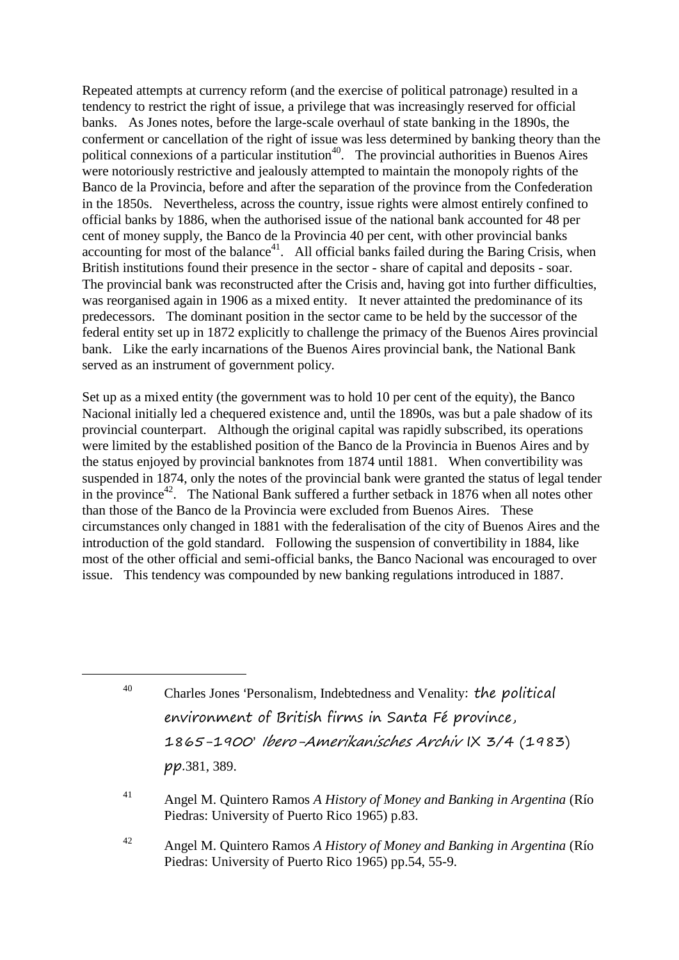Repeated attempts at currency reform (and the exercise of political patronage) resulted in a tendency to restrict the right of issue, a privilege that was increasingly reserved for official banks. As Jones notes, before the large-scale overhaul of state banking in the 1890s, the conferment or cancellation of the right of issue was less determined by banking theory than the political connexions of a particular institution<sup>40</sup>. The provincial authorities in Buenos Aires were notoriously restrictive and jealously attempted to maintain the monopoly rights of the Banco de la Provincia, before and after the separation of the province from the Confederation in the 1850s. Nevertheless, across the country, issue rights were almost entirely confined to official banks by 1886, when the authorised issue of the national bank accounted for 48 per cent of money supply, the Banco de la Provincia 40 per cent, with other provincial banks accounting for most of the balance<sup>41</sup>. All official banks failed during the Baring Crisis, when British institutions found their presence in the sector - share of capital and deposits - soar. The provincial bank was reconstructed after the Crisis and, having got into further difficulties, was reorganised again in 1906 as a mixed entity. It never attainted the predominance of its predecessors. The dominant position in the sector came to be held by the successor of the federal entity set up in 1872 explicitly to challenge the primacy of the Buenos Aires provincial bank. Like the early incarnations of the Buenos Aires provincial bank, the National Bank served as an instrument of government policy.

Set up as a mixed entity (the government was to hold 10 per cent of the equity), the Banco Nacional initially led a chequered existence and, until the 1890s, was but a pale shadow of its provincial counterpart. Although the original capital was rapidly subscribed, its operations were limited by the established position of the Banco de la Provincia in Buenos Aires and by the status enjoyed by provincial banknotes from 1874 until 1881. When convertibility was suspended in 1874, only the notes of the provincial bank were granted the status of legal tender in the province<sup>42</sup>. The National Bank suffered a further setback in 1876 when all notes other than those of the Banco de la Provincia were excluded from Buenos Aires. These circumstances only changed in 1881 with the federalisation of the city of Buenos Aires and the introduction of the gold standard. Following the suspension of convertibility in 1884, like most of the other official and semi-official banks, the Banco Nacional was encouraged to over issue. This tendency was compounded by new banking regulations introduced in 1887.

1

<sup>42</sup> Angel M. Quintero Ramos *A History of Money and Banking in Argentina* (Río Piedras: University of Puerto Rico 1965) pp.54, 55-9.

 $40$  Charles Jones 'Personalism, Indebtedness and Venality: the political environment of British firms in Santa Fé province, 1865-1900' Ibero-Amerikanisches Archiv IX 3/4 (1983) pp.381, 389.

<sup>41</sup> Angel M. Quintero Ramos *A History of Money and Banking in Argentina* (Río Piedras: University of Puerto Rico 1965) p.83.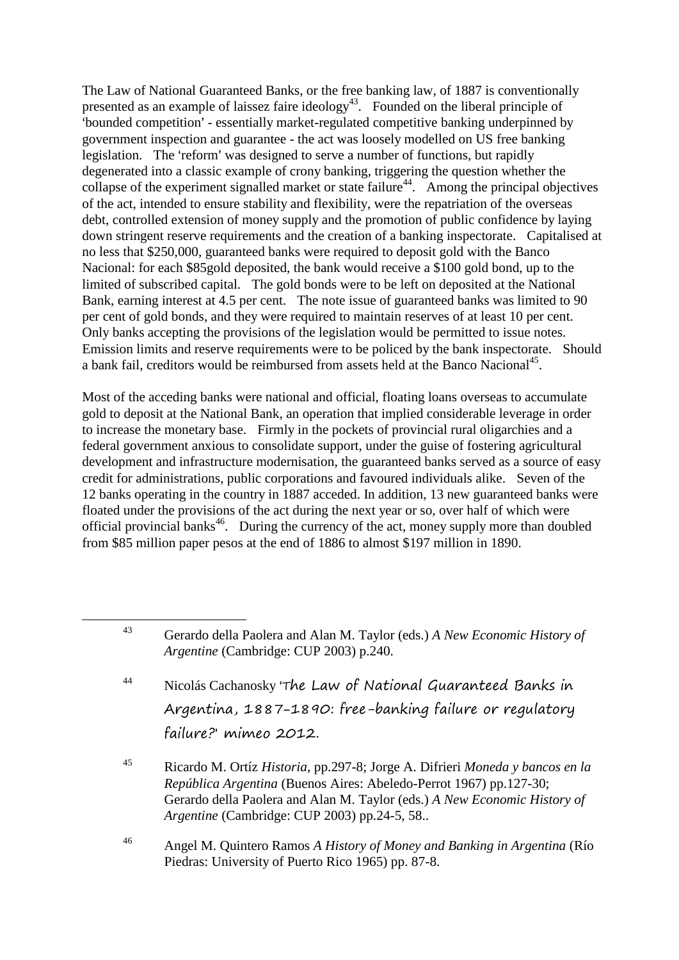The Law of National Guaranteed Banks, or the free banking law, of 1887 is conventionally presented as an example of laissez faire ideology<sup>43</sup>. Founded on the liberal principle of >bounded competition= - essentially market-regulated competitive banking underpinned by government inspection and guarantee - the act was loosely modelled on US free banking legislation. The 'reform' was designed to serve a number of functions, but rapidly degenerated into a classic example of crony banking, triggering the question whether the collapse of the experiment signalled market or state failure<sup>44</sup>. Among the principal objectives of the act, intended to ensure stability and flexibility, were the repatriation of the overseas debt, controlled extension of money supply and the promotion of public confidence by laying down stringent reserve requirements and the creation of a banking inspectorate. Capitalised at no less that \$250,000, guaranteed banks were required to deposit gold with the Banco Nacional: for each \$85gold deposited, the bank would receive a \$100 gold bond, up to the limited of subscribed capital. The gold bonds were to be left on deposited at the National Bank, earning interest at 4.5 per cent. The note issue of guaranteed banks was limited to 90 per cent of gold bonds, and they were required to maintain reserves of at least 10 per cent. Only banks accepting the provisions of the legislation would be permitted to issue notes. Emission limits and reserve requirements were to be policed by the bank inspectorate. Should a bank fail, creditors would be reimbursed from assets held at the Banco Nacional<sup>45</sup>.

Most of the acceding banks were national and official, floating loans overseas to accumulate gold to deposit at the National Bank, an operation that implied considerable leverage in order to increase the monetary base. Firmly in the pockets of provincial rural oligarchies and a federal government anxious to consolidate support, under the guise of fostering agricultural development and infrastructure modernisation, the guaranteed banks served as a source of easy credit for administrations, public corporations and favoured individuals alike. Seven of the 12 banks operating in the country in 1887 acceded. In addition, 13 new guaranteed banks were floated under the provisions of the act during the next year or so, over half of which were official provincial banks<sup>46</sup>. During the currency of the act, money supply more than doubled from \$85 million paper pesos at the end of 1886 to almost \$197 million in 1890.

- $44$  Nicolás Cachanosky 'The Law of National Guaranteed Banks in Argentina, 1887-1890: free-banking failure or regulatory failure?' mimeo 2012.
- <sup>45</sup> Ricardo M. Ortíz *Historia*, pp.297-8; Jorge A. Difrieri *Moneda y bancos en la República Argentina* (Buenos Aires: Abeledo-Perrot 1967) pp.127-30; Gerardo della Paolera and Alan M. Taylor (eds.) *A New Economic History of Argentine* (Cambridge: CUP 2003) pp.24-5, 58..
- <sup>46</sup> Angel M. Quintero Ramos *A History of Money and Banking in Argentina* (Río Piedras: University of Puerto Rico 1965) pp. 87-8.

<sup>43</sup> Gerardo della Paolera and Alan M. Taylor (eds.) *A New Economic History of Argentine* (Cambridge: CUP 2003) p.240.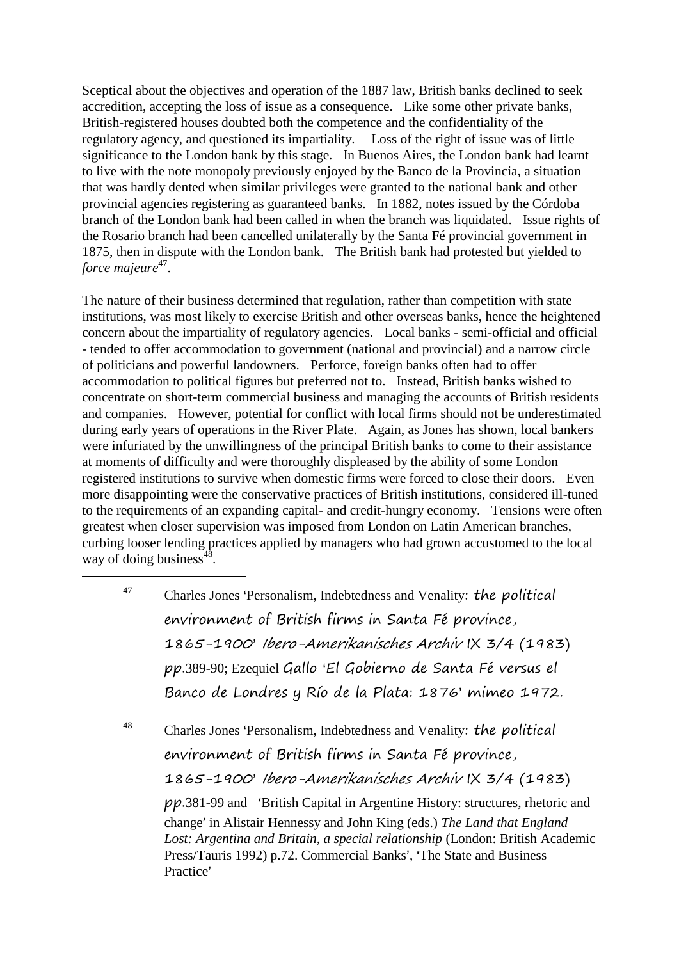Sceptical about the objectives and operation of the 1887 law, British banks declined to seek accredition, accepting the loss of issue as a consequence. Like some other private banks, British-registered houses doubted both the competence and the confidentiality of the regulatory agency, and questioned its impartiality. Loss of the right of issue was of little significance to the London bank by this stage. In Buenos Aires, the London bank had learnt to live with the note monopoly previously enjoyed by the Banco de la Provincia, a situation that was hardly dented when similar privileges were granted to the national bank and other provincial agencies registering as guaranteed banks. In 1882, notes issued by the Córdoba branch of the London bank had been called in when the branch was liquidated. Issue rights of the Rosario branch had been cancelled unilaterally by the Santa Fé provincial government in 1875, then in dispute with the London bank. The British bank had protested but yielded to force majeure<sup>47</sup>.

The nature of their business determined that regulation, rather than competition with state institutions, was most likely to exercise British and other overseas banks, hence the heightened concern about the impartiality of regulatory agencies. Local banks - semi-official and official - tended to offer accommodation to government (national and provincial) and a narrow circle of politicians and powerful landowners. Perforce, foreign banks often had to offer accommodation to political figures but preferred not to. Instead, British banks wished to concentrate on short-term commercial business and managing the accounts of British residents and companies. However, potential for conflict with local firms should not be underestimated during early years of operations in the River Plate. Again, as Jones has shown, local bankers were infuriated by the unwillingness of the principal British banks to come to their assistance at moments of difficulty and were thoroughly displeased by the ability of some London registered institutions to survive when domestic firms were forced to close their doors. Even more disappointing were the conservative practices of British institutions, considered ill-tuned to the requirements of an expanding capital- and credit-hungry economy. Tensions were often greatest when closer supervision was imposed from London on Latin American branches, curbing looser lending practices applied by managers who had grown accustomed to the local way of doing business $48$ .

 $47$  Charles Jones 'Personalism, Indebtedness and Venality: the political environment of British firms in Santa Fé province, 1865-1900' Ibero-Amerikanisches Archiv IX 3/4 (1983) pp.389-90; Ezequiel Gallo >El Gobierno de Santa Fé versus el Banco de Londres y Río de la Plata: 1876' mimeo 1972.

1

 $48$  Charles Jones 'Personalism, Indebtedness and Venality: the political environment of British firms in Santa Fé province, 1865-1900' Ibero-Amerikanisches Archiv IX 3/4 (1983)  $pp.381-99$  and 'British Capital in Argentine History: structures, rhetoric and change' in Alistair Hennessy and John King (eds.) *The Land that England Lost: Argentina and Britain, a special relationship* (London: British Academic Press/Tauris 1992) p.72. Commercial Banks', 'The State and Business Practice'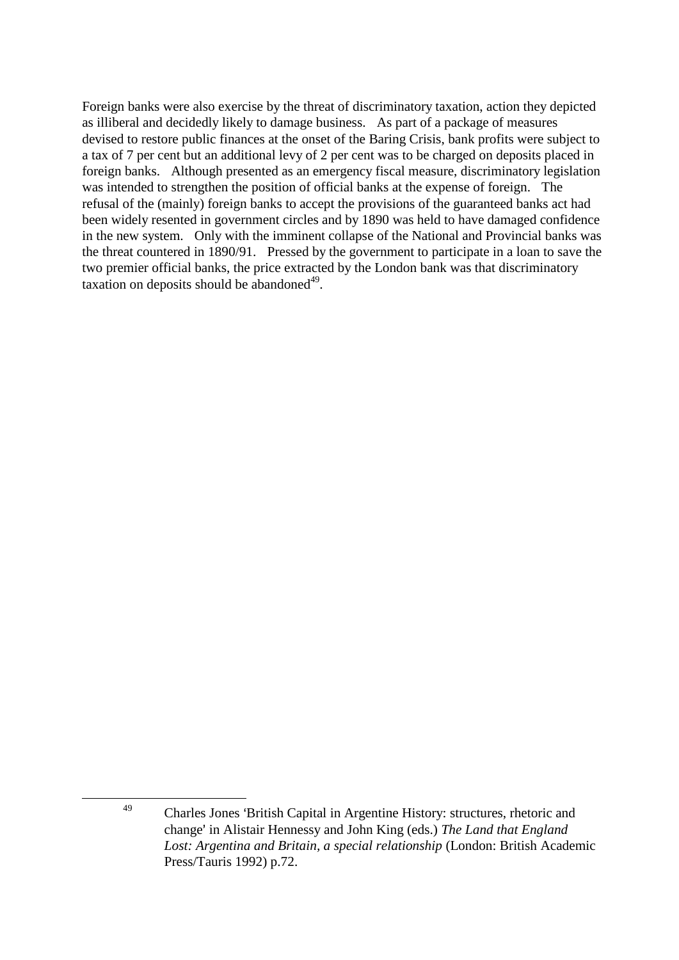Foreign banks were also exercise by the threat of discriminatory taxation, action they depicted as illiberal and decidedly likely to damage business. As part of a package of measures devised to restore public finances at the onset of the Baring Crisis, bank profits were subject to a tax of 7 per cent but an additional levy of 2 per cent was to be charged on deposits placed in foreign banks. Although presented as an emergency fiscal measure, discriminatory legislation was intended to strengthen the position of official banks at the expense of foreign. The refusal of the (mainly) foreign banks to accept the provisions of the guaranteed banks act had been widely resented in government circles and by 1890 was held to have damaged confidence in the new system. Only with the imminent collapse of the National and Provincial banks was the threat countered in 1890/91. Pressed by the government to participate in a loan to save the two premier official banks, the price extracted by the London bank was that discriminatory taxation on deposits should be abandoned<sup>49</sup>.

<sup>&</sup>lt;sup>49</sup> Charles Jones 'British Capital in Argentine History: structures, rhetoric and change' in Alistair Hennessy and John King (eds.) *The Land that England Lost: Argentina and Britain, a special relationship* (London: British Academic Press/Tauris 1992) p.72.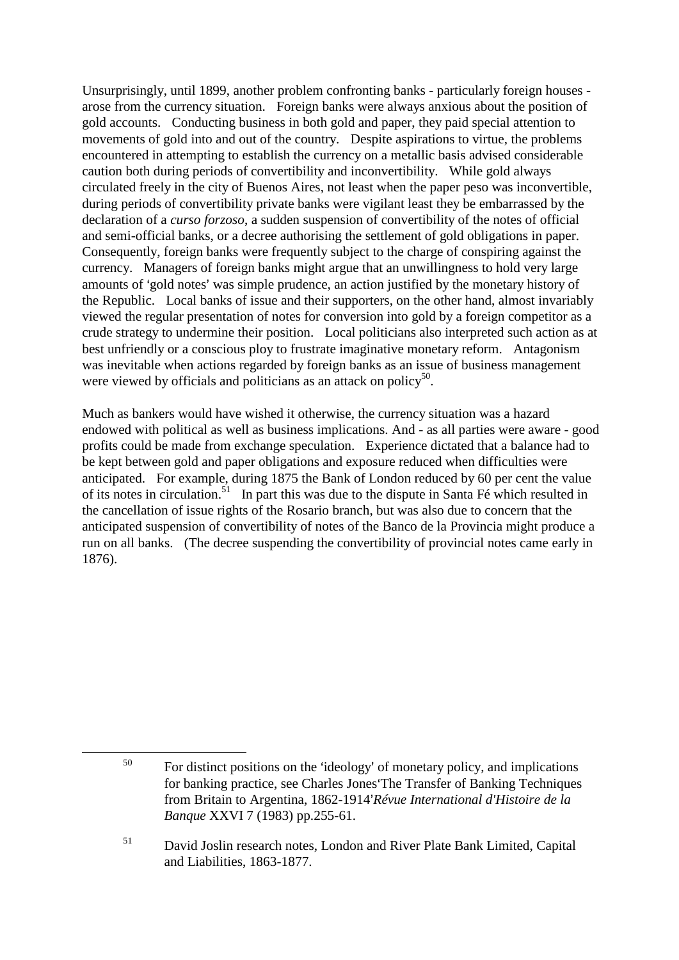Unsurprisingly, until 1899, another problem confronting banks - particularly foreign houses arose from the currency situation. Foreign banks were always anxious about the position of gold accounts. Conducting business in both gold and paper, they paid special attention to movements of gold into and out of the country. Despite aspirations to virtue, the problems encountered in attempting to establish the currency on a metallic basis advised considerable caution both during periods of convertibility and inconvertibility. While gold always circulated freely in the city of Buenos Aires, not least when the paper peso was inconvertible, during periods of convertibility private banks were vigilant least they be embarrassed by the declaration of a *curso forzoso*, a sudden suspension of convertibility of the notes of official and semi-official banks, or a decree authorising the settlement of gold obligations in paper. Consequently, foreign banks were frequently subject to the charge of conspiring against the currency. Managers of foreign banks might argue that an unwillingness to hold very large amounts of 'gold notes' was simple prudence, an action justified by the monetary history of the Republic. Local banks of issue and their supporters, on the other hand, almost invariably viewed the regular presentation of notes for conversion into gold by a foreign competitor as a crude strategy to undermine their position. Local politicians also interpreted such action as at best unfriendly or a conscious ploy to frustrate imaginative monetary reform. Antagonism was inevitable when actions regarded by foreign banks as an issue of business management were viewed by officials and politicians as an attack on policy<sup>50</sup>.

Much as bankers would have wished it otherwise, the currency situation was a hazard endowed with political as well as business implications. And - as all parties were aware - good profits could be made from exchange speculation. Experience dictated that a balance had to be kept between gold and paper obligations and exposure reduced when difficulties were anticipated. For example, during 1875 the Bank of London reduced by 60 per cent the value of its notes in circulation.<sup>51</sup> In part this was due to the dispute in Santa Fé which resulted in the cancellation of issue rights of the Rosario branch, but was also due to concern that the anticipated suspension of convertibility of notes of the Banco de la Provincia might produce a run on all banks. (The decree suspending the convertibility of provincial notes came early in 1876).

1

 $50$  For distinct positions on the 'ideology' of monetary policy, and implications for banking practice, see Charles Jones The Transfer of Banking Techniques from Britain to Argentina, 1862-1914'Révue International d'Histoire de la *Banque* XXVI 7 (1983) pp.255-61.

<sup>51</sup> David Joslin research notes, London and River Plate Bank Limited, Capital and Liabilities, 1863-1877.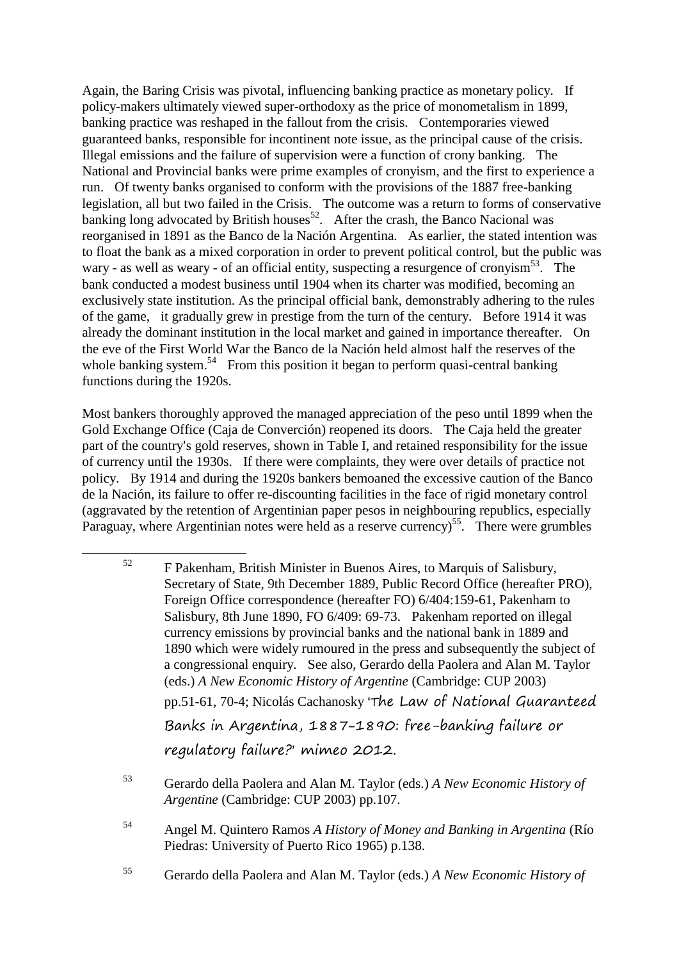Again, the Baring Crisis was pivotal, influencing banking practice as monetary policy. If policy-makers ultimately viewed super-orthodoxy as the price of monometalism in 1899, banking practice was reshaped in the fallout from the crisis. Contemporaries viewed guaranteed banks, responsible for incontinent note issue, as the principal cause of the crisis. Illegal emissions and the failure of supervision were a function of crony banking. The National and Provincial banks were prime examples of cronyism, and the first to experience a run. Of twenty banks organised to conform with the provisions of the 1887 free-banking legislation, all but two failed in the Crisis. The outcome was a return to forms of conservative  $\mu$ banking long advocated by British houses<sup>52</sup>. After the crash, the Banco Nacional was reorganised in 1891 as the Banco de la Nación Argentina. As earlier, the stated intention was to float the bank as a mixed corporation in order to prevent political control, but the public was wary - as well as weary - of an official entity, suspecting a resurgence of cronyism<sup>53</sup>. The bank conducted a modest business until 1904 when its charter was modified, becoming an exclusively state institution. As the principal official bank, demonstrably adhering to the rules of the game, it gradually grew in prestige from the turn of the century. Before 1914 it was already the dominant institution in the local market and gained in importance thereafter. On the eve of the First World War the Banco de la Nación held almost half the reserves of the whole banking system.<sup>54</sup> From this position it began to perform quasi-central banking functions during the 1920s.

Most bankers thoroughly approved the managed appreciation of the peso until 1899 when the Gold Exchange Office (Caja de Converción) reopened its doors. The Caja held the greater part of the country's gold reserves, shown in Table I, and retained responsibility for the issue of currency until the 1930s. If there were complaints, they were over details of practice not policy. By 1914 and during the 1920s bankers bemoaned the excessive caution of the Banco de la Nación, its failure to offer re-discounting facilities in the face of rigid monetary control (aggravated by the retention of Argentinian paper pesos in neighbouring republics, especially Paraguay, where Argentinian notes were held as a reserve currency)<sup>55</sup>. There were grumbles

<u>.</u>

<sup>53</sup> Gerardo della Paolera and Alan M. Taylor (eds.) *A New Economic History of Argentine* (Cambridge: CUP 2003) pp.107.

- <sup>54</sup> Angel M. Quintero Ramos *A History of Money and Banking in Argentina* (Río Piedras: University of Puerto Rico 1965) p.138.
- <sup>55</sup> Gerardo della Paolera and Alan M. Taylor (eds.) *A New Economic History of*

 $52$  F Pakenham, British Minister in Buenos Aires, to Marquis of Salisbury, Secretary of State, 9th December 1889, Public Record Office (hereafter PRO), Foreign Office correspondence (hereafter FO) 6/404:159-61, Pakenham to Salisbury, 8th June 1890, FO 6/409: 69-73. Pakenham reported on illegal currency emissions by provincial banks and the national bank in 1889 and 1890 which were widely rumoured in the press and subsequently the subject of a congressional enquiry. See also, Gerardo della Paolera and Alan M. Taylor (eds.) *A New Economic History of Argentine* (Cambridge: CUP 2003) pp.51-61, 70-4; Nicolás Cachanosky 'The Law of National Guaranteed Banks in Argentina, 1887-1890: free-banking failure or regulatory failure? mimeo 2012.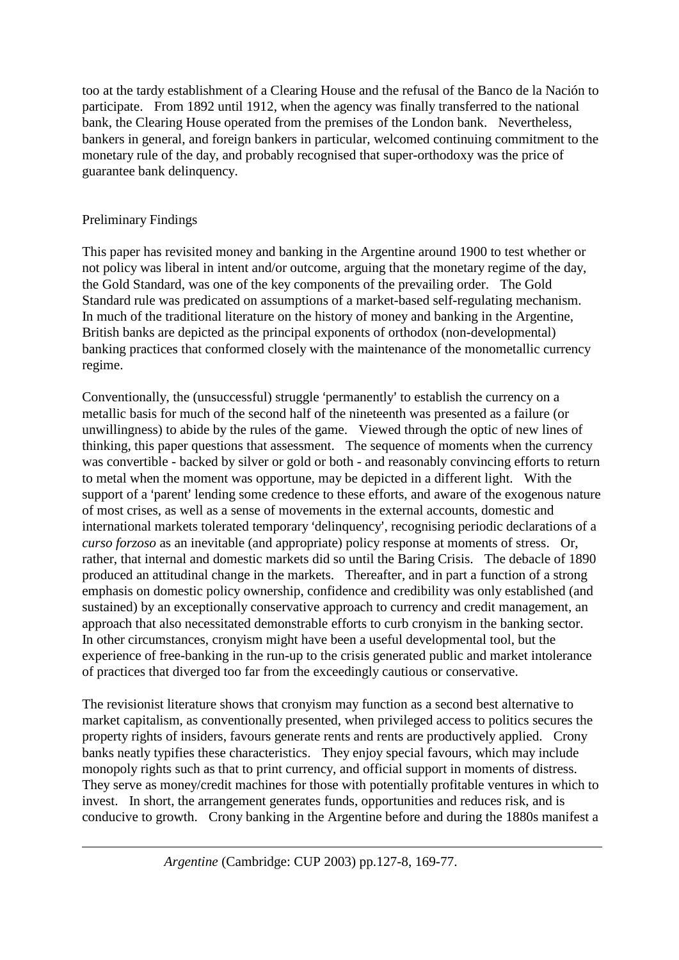too at the tardy establishment of a Clearing House and the refusal of the Banco de la Nación to participate. From 1892 until 1912, when the agency was finally transferred to the national bank, the Clearing House operated from the premises of the London bank. Nevertheless, bankers in general, and foreign bankers in particular, welcomed continuing commitment to the monetary rule of the day, and probably recognised that super-orthodoxy was the price of guarantee bank delinquency.

### Preliminary Findings

<u>.</u>

This paper has revisited money and banking in the Argentine around 1900 to test whether or not policy was liberal in intent and/or outcome, arguing that the monetary regime of the day, the Gold Standard, was one of the key components of the prevailing order. The Gold Standard rule was predicated on assumptions of a market-based self-regulating mechanism. In much of the traditional literature on the history of money and banking in the Argentine, British banks are depicted as the principal exponents of orthodox (non-developmental) banking practices that conformed closely with the maintenance of the monometallic currency regime.

Conventionally, the (unsuccessful) struggle 'permanently' to establish the currency on a metallic basis for much of the second half of the nineteenth was presented as a failure (or unwillingness) to abide by the rules of the game. Viewed through the optic of new lines of thinking, this paper questions that assessment. The sequence of moments when the currency was convertible - backed by silver or gold or both - and reasonably convincing efforts to return to metal when the moment was opportune, may be depicted in a different light. With the support of a 'parent' lending some credence to these efforts, and aware of the exogenous nature of most crises, as well as a sense of movements in the external accounts, domestic and international markets tolerated temporary 'delinquency', recognising periodic declarations of a *curso forzoso* as an inevitable (and appropriate) policy response at moments of stress. Or, rather, that internal and domestic markets did so until the Baring Crisis. The debacle of 1890 produced an attitudinal change in the markets. Thereafter, and in part a function of a strong emphasis on domestic policy ownership, confidence and credibility was only established (and sustained) by an exceptionally conservative approach to currency and credit management, an approach that also necessitated demonstrable efforts to curb cronyism in the banking sector. In other circumstances, cronyism might have been a useful developmental tool, but the experience of free-banking in the run-up to the crisis generated public and market intolerance of practices that diverged too far from the exceedingly cautious or conservative.

The revisionist literature shows that cronyism may function as a second best alternative to market capitalism, as conventionally presented, when privileged access to politics secures the property rights of insiders, favours generate rents and rents are productively applied. Crony banks neatly typifies these characteristics. They enjoy special favours, which may include monopoly rights such as that to print currency, and official support in moments of distress. They serve as money/credit machines for those with potentially profitable ventures in which to invest. In short, the arrangement generates funds, opportunities and reduces risk, and is conducive to growth. Crony banking in the Argentine before and during the 1880s manifest a

*Argentine* (Cambridge: CUP 2003) pp.127-8, 169-77.